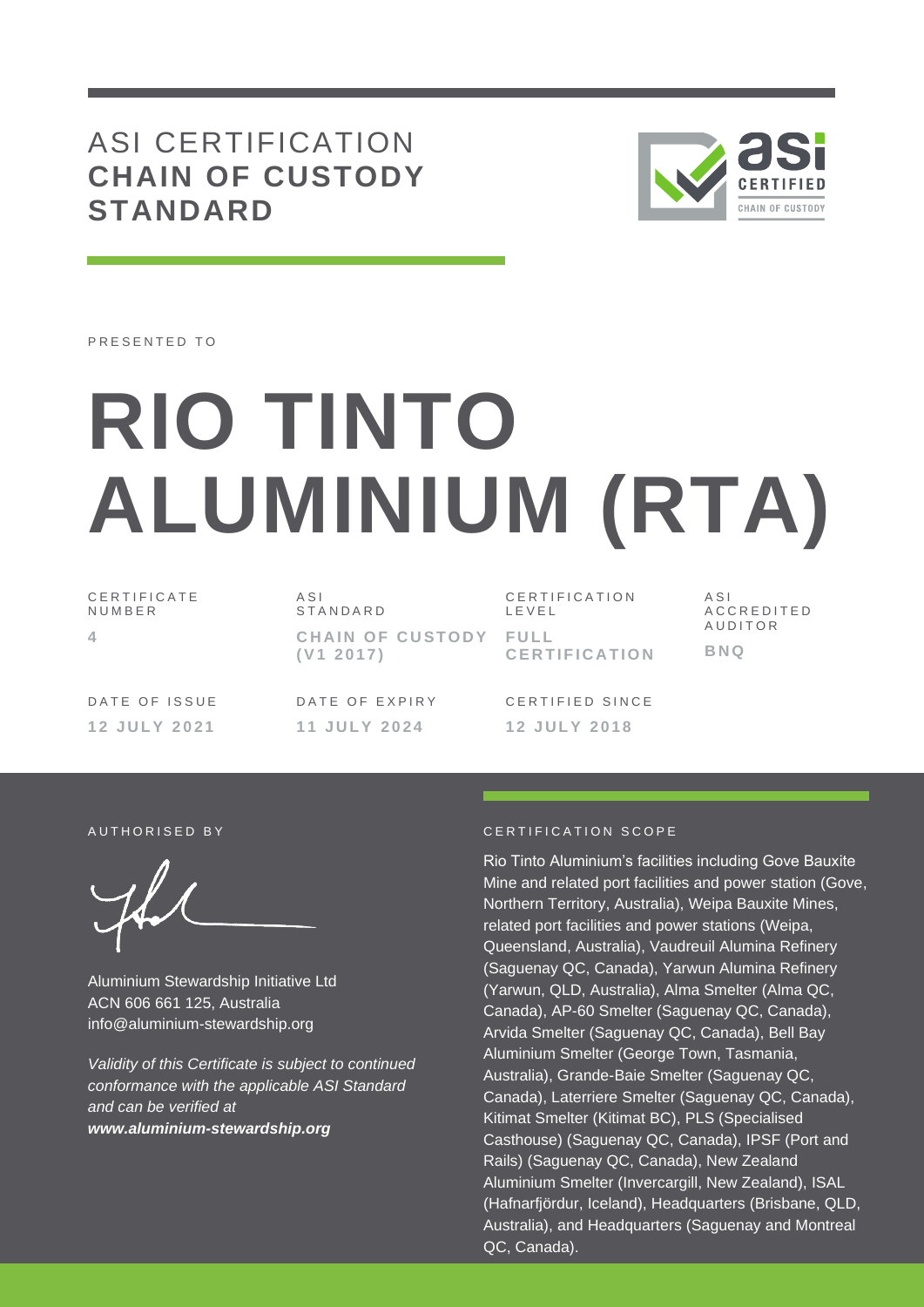## ASI CERTIFICATION **CHAIN OF CUSTODY STANDARD**



PRESENTED TO

# **RIO TINTO ALUMINIUM (RTA)**

C E R T I F I C A T E N U M B E R **4**

A S I S T A N D A R D **CHAIN OF CUSTODY ( V1 2 0 1 7 )**

CERTIFICATION L E V E L **F U L L C E R T I F I C A T I O N** A S I A C C R E D I T E D **AUDITOR BNQ**

DATE OF ISSUE **1 2 J U L Y 2 0 2 1**

DATE OF EXPIRY **1 1 J U L Y 2 0 2 4**

CERTIFIED SINCE **1 2 J U L Y 2 0 1 8**

Aluminium Stewardship Initiative Ltd ACN 606 661 125, Australia info@aluminium-stewardship.org

*Validity of this Certificate is subject to continued conformance with the applicable ASI Standard and can be verified at www.aluminium-stewardship.org*

#### AUTHORISED BY **CERTIFICATION SCOPE**

Rio Tinto Aluminium's facilities including Gove Bauxite Mine and related port facilities and power station (Gove, Northern Territory, Australia), Weipa Bauxite Mines, related port facilities and power stations (Weipa, Queensland, Australia), Vaudreuil Alumina Refinery (Saguenay QC, Canada), Yarwun Alumina Refinery (Yarwun, QLD, Australia), Alma Smelter (Alma QC, Canada), AP-60 Smelter (Saguenay QC, Canada), Arvida Smelter (Saguenay QC, Canada), Bell Bay Aluminium Smelter (George Town, Tasmania, Australia), Grande-Baie Smelter (Saguenay QC, Canada), Laterriere Smelter (Saguenay QC, Canada), Kitimat Smelter (Kitimat BC), PLS (Specialised Casthouse) (Saguenay QC, Canada), IPSF (Port and Rails) (Saguenay QC, Canada), New Zealand Aluminium Smelter (Invercargill, New Zealand), ISAL (Hafnarfjördur, Iceland), Headquarters (Brisbane, QLD, Australia), and Headquarters (Saguenay and Montreal QC, Canada).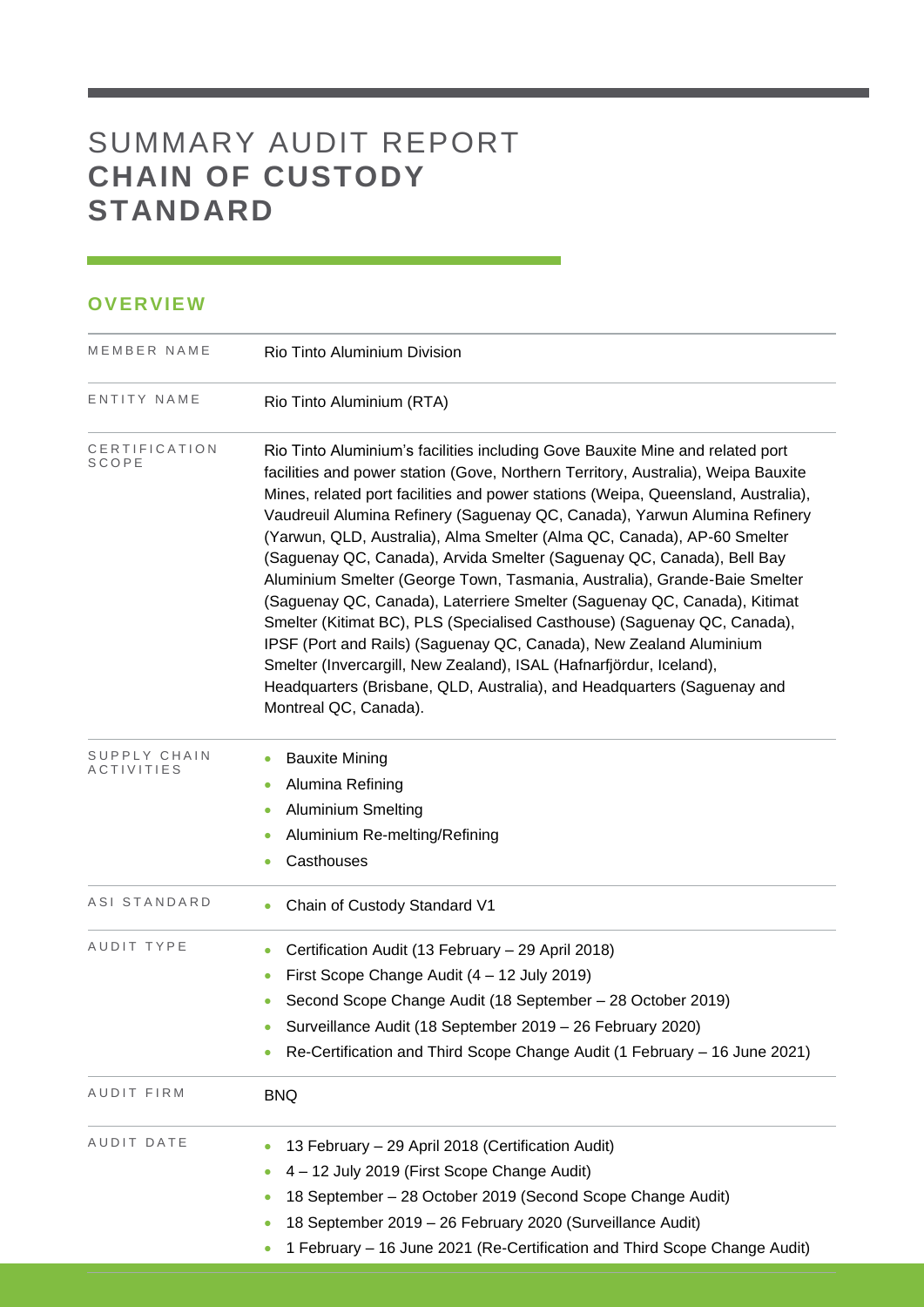# SUMMARY AUDIT REPORT **CHAIN OF CUSTODY STANDARD**

### **OVERVIEW**

| MEMBER NAME                | Rio Tinto Aluminium Division                                                                                                                                                                                                                                                                                                                                                                                                                                                                                                                                                                                                                                                                                                                                                                                                                                                                                                                                                   |  |  |  |  |
|----------------------------|--------------------------------------------------------------------------------------------------------------------------------------------------------------------------------------------------------------------------------------------------------------------------------------------------------------------------------------------------------------------------------------------------------------------------------------------------------------------------------------------------------------------------------------------------------------------------------------------------------------------------------------------------------------------------------------------------------------------------------------------------------------------------------------------------------------------------------------------------------------------------------------------------------------------------------------------------------------------------------|--|--|--|--|
| ENTITY NAME                | Rio Tinto Aluminium (RTA)                                                                                                                                                                                                                                                                                                                                                                                                                                                                                                                                                                                                                                                                                                                                                                                                                                                                                                                                                      |  |  |  |  |
| CERTIFICATION<br>SCOPE     | Rio Tinto Aluminium's facilities including Gove Bauxite Mine and related port<br>facilities and power station (Gove, Northern Territory, Australia), Weipa Bauxite<br>Mines, related port facilities and power stations (Weipa, Queensland, Australia),<br>Vaudreuil Alumina Refinery (Saguenay QC, Canada), Yarwun Alumina Refinery<br>(Yarwun, QLD, Australia), Alma Smelter (Alma QC, Canada), AP-60 Smelter<br>(Saguenay QC, Canada), Arvida Smelter (Saguenay QC, Canada), Bell Bay<br>Aluminium Smelter (George Town, Tasmania, Australia), Grande-Baie Smelter<br>(Saguenay QC, Canada), Laterriere Smelter (Saguenay QC, Canada), Kitimat<br>Smelter (Kitimat BC), PLS (Specialised Casthouse) (Saguenay QC, Canada),<br>IPSF (Port and Rails) (Saguenay QC, Canada), New Zealand Aluminium<br>Smelter (Invercargill, New Zealand), ISAL (Hafnarfjördur, Iceland),<br>Headquarters (Brisbane, QLD, Australia), and Headquarters (Saguenay and<br>Montreal QC, Canada). |  |  |  |  |
| SUPPLY CHAIN<br>ACTIVITIES | <b>Bauxite Mining</b><br>0<br>Alumina Refining<br>$\bullet$<br><b>Aluminium Smelting</b><br>$\bullet$<br>Aluminium Re-melting/Refining<br>$\bullet$<br>Casthouses<br>٠                                                                                                                                                                                                                                                                                                                                                                                                                                                                                                                                                                                                                                                                                                                                                                                                         |  |  |  |  |
| ASI STANDARD               | Chain of Custody Standard V1<br>0                                                                                                                                                                                                                                                                                                                                                                                                                                                                                                                                                                                                                                                                                                                                                                                                                                                                                                                                              |  |  |  |  |
| AUDIT TYPE                 | Certification Audit (13 February - 29 April 2018)<br>$\bullet$<br>First Scope Change Audit (4 - 12 July 2019)<br>$\bullet$<br>Second Scope Change Audit (18 September - 28 October 2019)<br>۰<br>Surveillance Audit (18 September 2019 - 26 February 2020)<br>Re-Certification and Third Scope Change Audit (1 February - 16 June 2021)<br>0                                                                                                                                                                                                                                                                                                                                                                                                                                                                                                                                                                                                                                   |  |  |  |  |
| AUDIT FIRM                 | <b>BNQ</b>                                                                                                                                                                                                                                                                                                                                                                                                                                                                                                                                                                                                                                                                                                                                                                                                                                                                                                                                                                     |  |  |  |  |
| AUDIT DATE                 | 13 February - 29 April 2018 (Certification Audit)<br>4 - 12 July 2019 (First Scope Change Audit)<br>18 September - 28 October 2019 (Second Scope Change Audit)<br>18 September 2019 - 26 February 2020 (Surveillance Audit)<br>$\bullet$<br>1 February - 16 June 2021 (Re-Certification and Third Scope Change Audit)<br>$\bullet$                                                                                                                                                                                                                                                                                                                                                                                                                                                                                                                                                                                                                                             |  |  |  |  |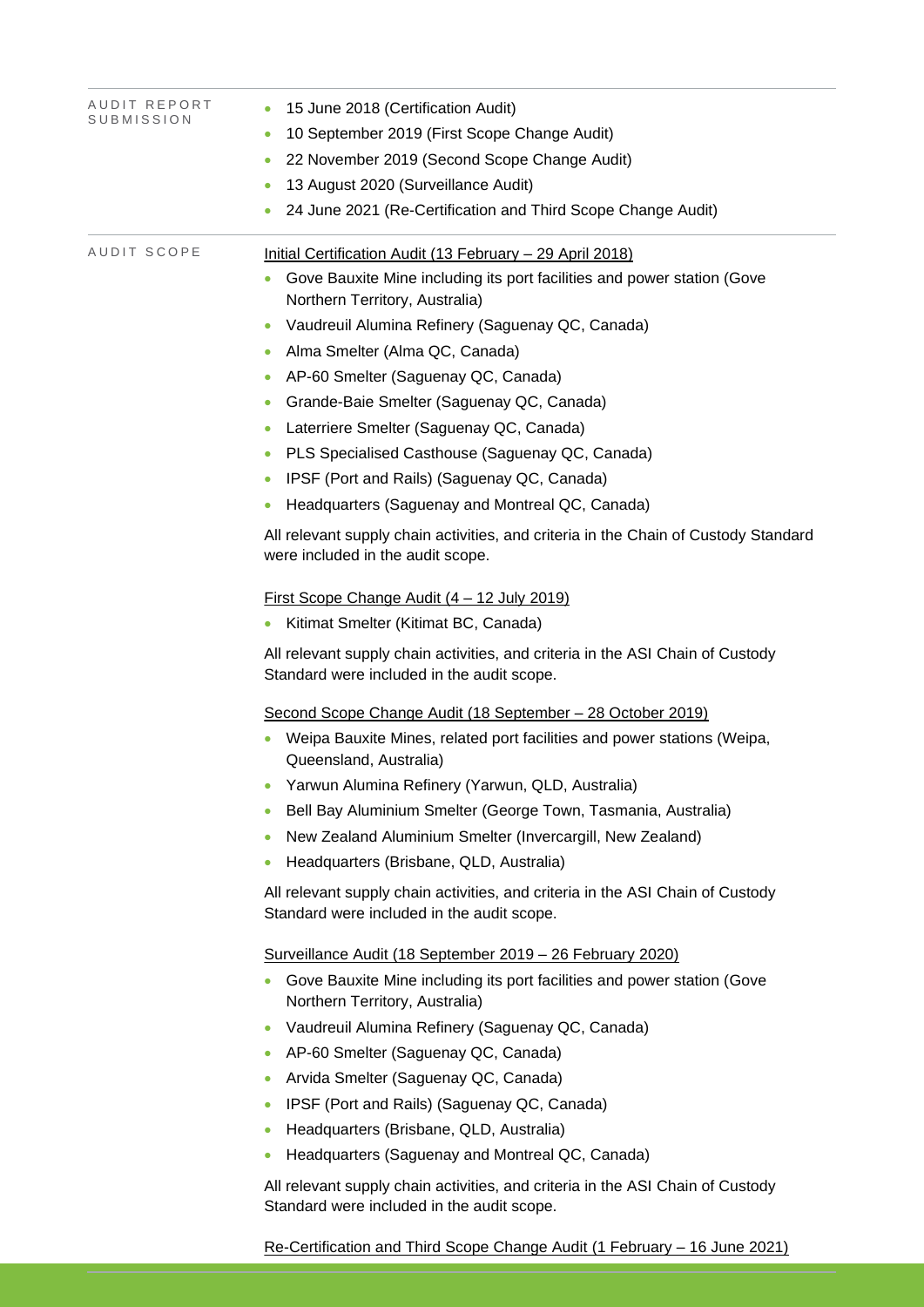| AUDIT REPORT | 15 June 2018 (Certification Audit)<br>$\bullet$                                                                              |  |  |  |  |
|--------------|------------------------------------------------------------------------------------------------------------------------------|--|--|--|--|
| SUBMISSION   | 10 September 2019 (First Scope Change Audit)<br>$\bullet$                                                                    |  |  |  |  |
|              | 22 November 2019 (Second Scope Change Audit)                                                                                 |  |  |  |  |
|              | 13 August 2020 (Surveillance Audit)                                                                                          |  |  |  |  |
|              | 24 June 2021 (Re-Certification and Third Scope Change Audit)                                                                 |  |  |  |  |
| AUDIT SCOPE  | Initial Certification Audit (13 February - 29 April 2018)                                                                    |  |  |  |  |
|              | Gove Bauxite Mine including its port facilities and power station (Gove<br>Northern Territory, Australia)                    |  |  |  |  |
|              | Vaudreuil Alumina Refinery (Saguenay QC, Canada)<br>$\bullet$                                                                |  |  |  |  |
|              | Alma Smelter (Alma QC, Canada)<br>$\bullet$                                                                                  |  |  |  |  |
|              | AP-60 Smelter (Saguenay QC, Canada)<br>$\bullet$                                                                             |  |  |  |  |
|              | Grande-Baie Smelter (Saguenay QC, Canada)<br>۰                                                                               |  |  |  |  |
|              | Laterriere Smelter (Saguenay QC, Canada)                                                                                     |  |  |  |  |
|              | PLS Specialised Casthouse (Saguenay QC, Canada)<br>۰                                                                         |  |  |  |  |
|              | IPSF (Port and Rails) (Saguenay QC, Canada)                                                                                  |  |  |  |  |
|              | Headquarters (Saguenay and Montreal QC, Canada)<br>$\bullet$                                                                 |  |  |  |  |
|              | All relevant supply chain activities, and criteria in the Chain of Custody Standard<br>were included in the audit scope.     |  |  |  |  |
|              | <u>First Scope Change Audit (4 – 12 July 2019)</u>                                                                           |  |  |  |  |
|              | Kitimat Smelter (Kitimat BC, Canada)                                                                                         |  |  |  |  |
|              | All relevant supply chain activities, and criteria in the ASI Chain of Custody<br>Standard were included in the audit scope. |  |  |  |  |
|              | Second Scope Change Audit (18 September - 28 October 2019)                                                                   |  |  |  |  |
|              | Weipa Bauxite Mines, related port facilities and power stations (Weipa,<br>Queensland, Australia)                            |  |  |  |  |
|              | Yarwun Alumina Refinery (Yarwun, QLD, Australia)                                                                             |  |  |  |  |
|              | Bell Bay Aluminium Smelter (George Town, Tasmania, Australia)<br>٠                                                           |  |  |  |  |
|              | New Zealand Aluminium Smelter (Invercargill, New Zealand)<br>$\bullet$                                                       |  |  |  |  |
|              | Headquarters (Brisbane, QLD, Australia)                                                                                      |  |  |  |  |
|              | All relevant supply chain activities, and criteria in the ASI Chain of Custody<br>Standard were included in the audit scope. |  |  |  |  |
|              | Surveillance Audit (18 September 2019 - 26 February 2020)                                                                    |  |  |  |  |
|              | Gove Bauxite Mine including its port facilities and power station (Gove<br>۰<br>Northern Territory, Australia)               |  |  |  |  |
|              | Vaudreuil Alumina Refinery (Saguenay QC, Canada)<br>$\bullet$                                                                |  |  |  |  |
|              | AP-60 Smelter (Saguenay QC, Canada)<br>$\bullet$                                                                             |  |  |  |  |
|              | Arvida Smelter (Saguenay QC, Canada)<br>$\bullet$                                                                            |  |  |  |  |
|              | IPSF (Port and Rails) (Saguenay QC, Canada)<br>$\bullet$                                                                     |  |  |  |  |
|              | Headquarters (Brisbane, QLD, Australia)<br>$\bullet$                                                                         |  |  |  |  |
|              | Headquarters (Saguenay and Montreal QC, Canada)<br>۰                                                                         |  |  |  |  |
|              | All relevant supply chain activities, and criteria in the ASI Chain of Custody<br>Standard were included in the audit scope. |  |  |  |  |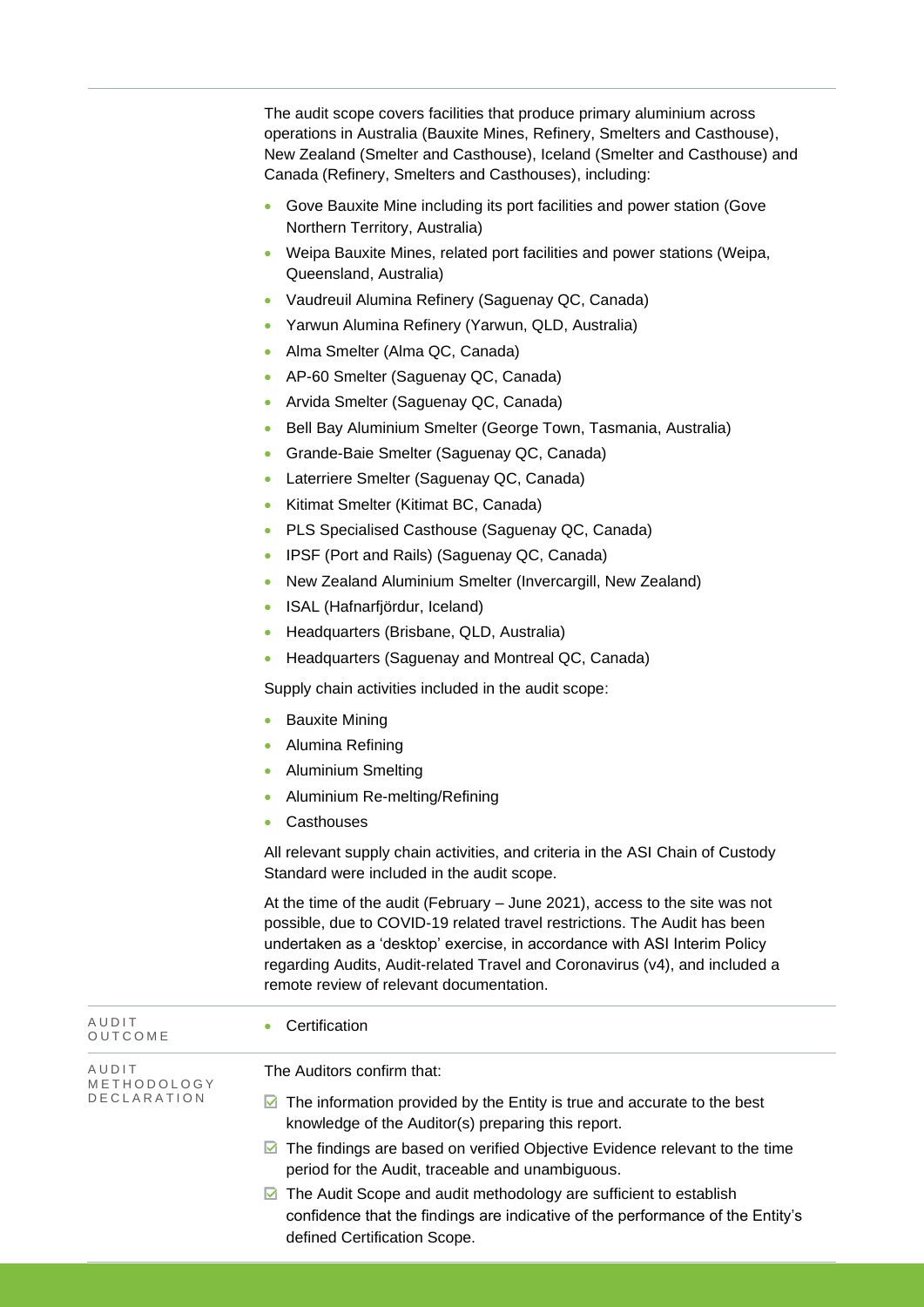The audit scope covers facilities that produce primary aluminium across operations in Australia (Bauxite Mines, Refinery, Smelters and Casthouse), New Zealand (Smelter and Casthouse), Iceland (Smelter and Casthouse) and Canada (Refinery, Smelters and Casthouses), including:

- Gove Bauxite Mine including its port facilities and power station (Gove Northern Territory, Australia)
- Weipa Bauxite Mines, related port facilities and power stations (Weipa, Queensland, Australia)
- Vaudreuil Alumina Refinery (Saguenay QC, Canada)
- Yarwun Alumina Refinery (Yarwun, QLD, Australia)
- Alma Smelter (Alma QC, Canada)
- AP-60 Smelter (Saguenay QC, Canada)
- Arvida Smelter (Saguenay QC, Canada)
- Bell Bay Aluminium Smelter (George Town, Tasmania, Australia)
- Grande-Baie Smelter (Saguenay QC, Canada)
- Laterriere Smelter (Saguenay QC, Canada)
- Kitimat Smelter (Kitimat BC, Canada)
- PLS Specialised Casthouse (Saguenay QC, Canada)
- IPSF (Port and Rails) (Saguenay QC, Canada)
- New Zealand Aluminium Smelter (Invercargill, New Zealand)
- ISAL (Hafnarfjördur, Iceland)
- Headquarters (Brisbane, QLD, Australia)
- Headquarters (Saguenay and Montreal QC, Canada)

Supply chain activities included in the audit scope:

- **Bauxite Mining**
- Alumina Refining
- Aluminium Smelting
- Aluminium Re-melting/Refining
- Casthouses

All relevant supply chain activities, and criteria in the ASI Chain of Custody Standard were included in the audit scope.

At the time of the audit (February – June 2021), access to the site was not possible, due to COVID-19 related travel restrictions. The Audit has been undertaken as a 'desktop' exercise, in accordance with ASI Interim Policy regarding Audits, Audit-related Travel and Coronavirus (v4), and included a remote review of relevant documentation.

| AUDIT<br>OUTCOME     | Certification                                                                                                                                                                                 |
|----------------------|-----------------------------------------------------------------------------------------------------------------------------------------------------------------------------------------------|
| AUDIT<br>METHODOLOGY | The Auditors confirm that:                                                                                                                                                                    |
| <b>DECLARATION</b>   | $\blacksquare$ The information provided by the Entity is true and accurate to the best<br>knowledge of the Auditor(s) preparing this report.                                                  |
|                      | $\blacksquare$ The findings are based on verified Objective Evidence relevant to the time<br>period for the Audit, traceable and unambiguous.                                                 |
|                      | $\boxdot$ The Audit Scope and audit methodology are sufficient to establish<br>confidence that the findings are indicative of the performance of the Entity's<br>defined Certification Scope. |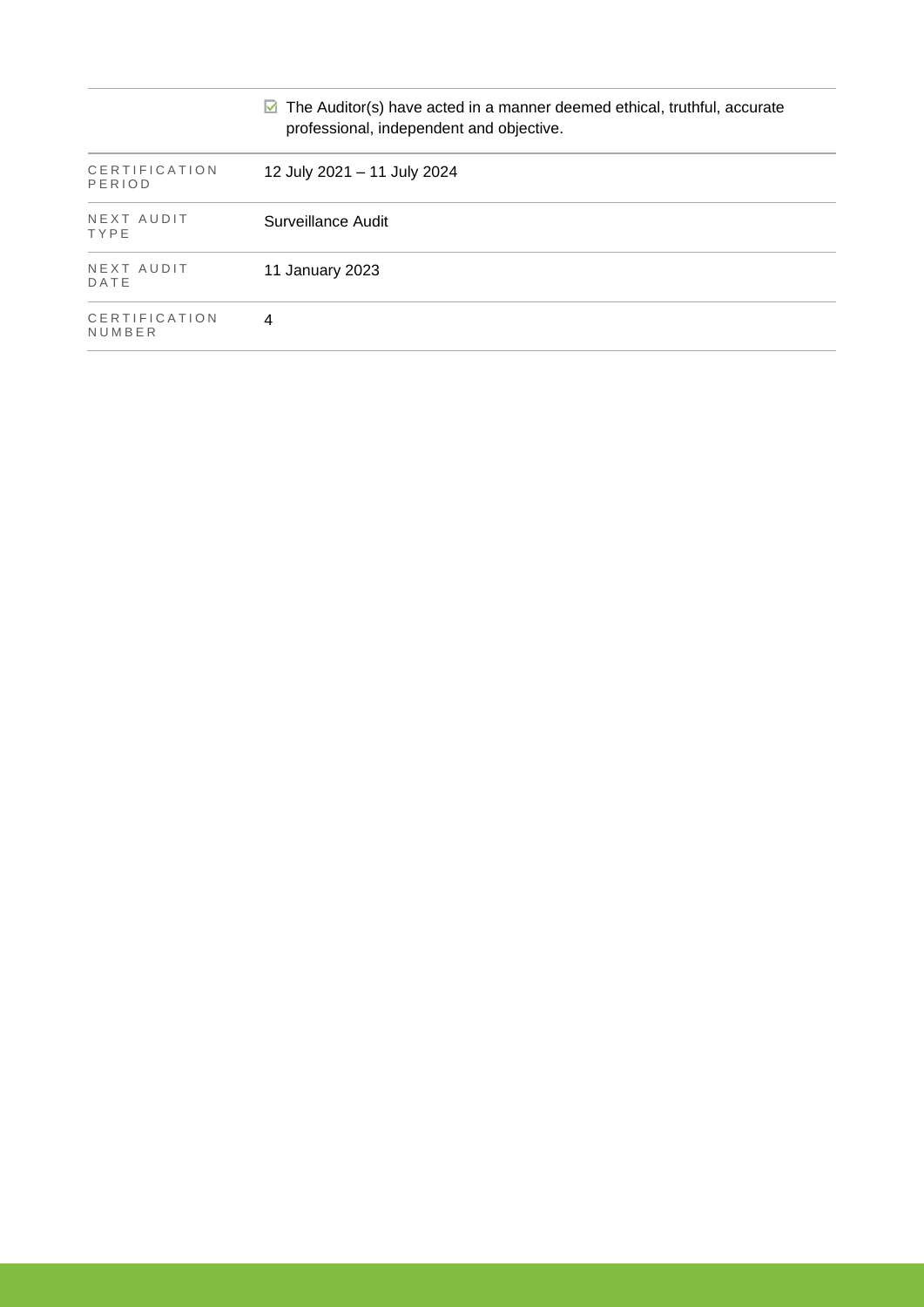|                         | $\triangleright$ The Auditor(s) have acted in a manner deemed ethical, truthful, accurate<br>professional, independent and objective. |
|-------------------------|---------------------------------------------------------------------------------------------------------------------------------------|
| CERTIFICATION<br>PERIOD | 12 July 2021 - 11 July 2024                                                                                                           |
| NEXT AUDIT<br>TYPE      | Surveillance Audit                                                                                                                    |
| NEXT AUDIT<br>DATE      | 11 January 2023                                                                                                                       |
| CERTIFICATION<br>NUMBER | 4                                                                                                                                     |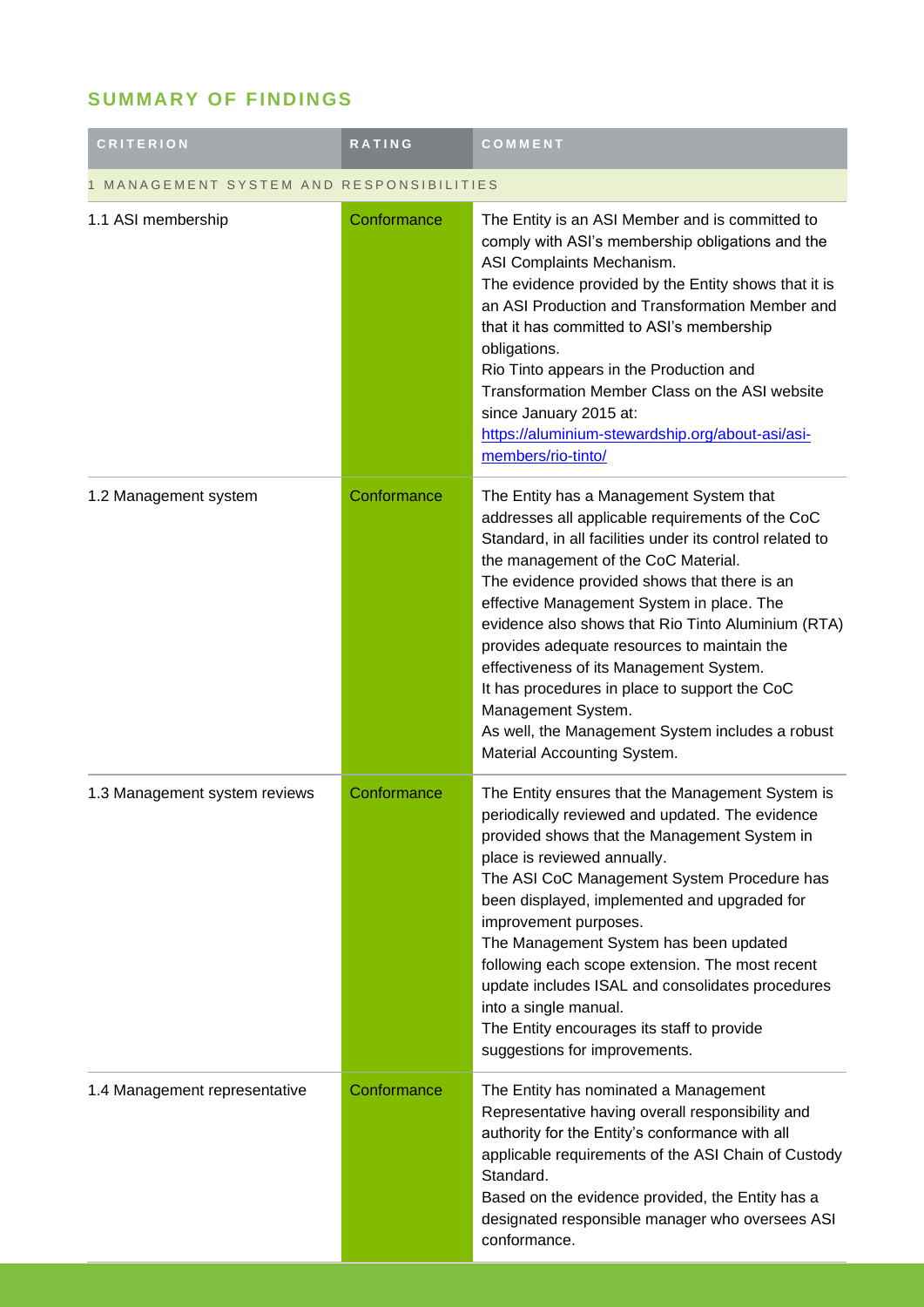## **SUMMARY OF FINDINGS**

| <b>CRITERION</b>                       | <b>RATING</b> | COMMENT                                                                                                                                                                                                                                                                                                                                                                                                                                                                                                                                                                                               |  |  |
|----------------------------------------|---------------|-------------------------------------------------------------------------------------------------------------------------------------------------------------------------------------------------------------------------------------------------------------------------------------------------------------------------------------------------------------------------------------------------------------------------------------------------------------------------------------------------------------------------------------------------------------------------------------------------------|--|--|
| MANAGEMENT SYSTEM AND RESPONSIBILITIES |               |                                                                                                                                                                                                                                                                                                                                                                                                                                                                                                                                                                                                       |  |  |
| 1.1 ASI membership                     | Conformance   | The Entity is an ASI Member and is committed to<br>comply with ASI's membership obligations and the<br>ASI Complaints Mechanism.<br>The evidence provided by the Entity shows that it is<br>an ASI Production and Transformation Member and<br>that it has committed to ASI's membership<br>obligations.<br>Rio Tinto appears in the Production and<br>Transformation Member Class on the ASI website<br>since January 2015 at:<br>https://aluminium-stewardship.org/about-asi/asi-<br>members/rio-tinto/                                                                                             |  |  |
| 1.2 Management system                  | Conformance   | The Entity has a Management System that<br>addresses all applicable requirements of the CoC<br>Standard, in all facilities under its control related to<br>the management of the CoC Material.<br>The evidence provided shows that there is an<br>effective Management System in place. The<br>evidence also shows that Rio Tinto Aluminium (RTA)<br>provides adequate resources to maintain the<br>effectiveness of its Management System.<br>It has procedures in place to support the CoC<br>Management System.<br>As well, the Management System includes a robust<br>Material Accounting System. |  |  |
| 1.3 Management system reviews          | Conformance   | The Entity ensures that the Management System is<br>periodically reviewed and updated. The evidence<br>provided shows that the Management System in<br>place is reviewed annually.<br>The ASI CoC Management System Procedure has<br>been displayed, implemented and upgraded for<br>improvement purposes.<br>The Management System has been updated<br>following each scope extension. The most recent<br>update includes ISAL and consolidates procedures<br>into a single manual.<br>The Entity encourages its staff to provide<br>suggestions for improvements.                                   |  |  |
| 1.4 Management representative          | Conformance   | The Entity has nominated a Management<br>Representative having overall responsibility and<br>authority for the Entity's conformance with all<br>applicable requirements of the ASI Chain of Custody<br>Standard.<br>Based on the evidence provided, the Entity has a<br>designated responsible manager who oversees ASI<br>conformance.                                                                                                                                                                                                                                                               |  |  |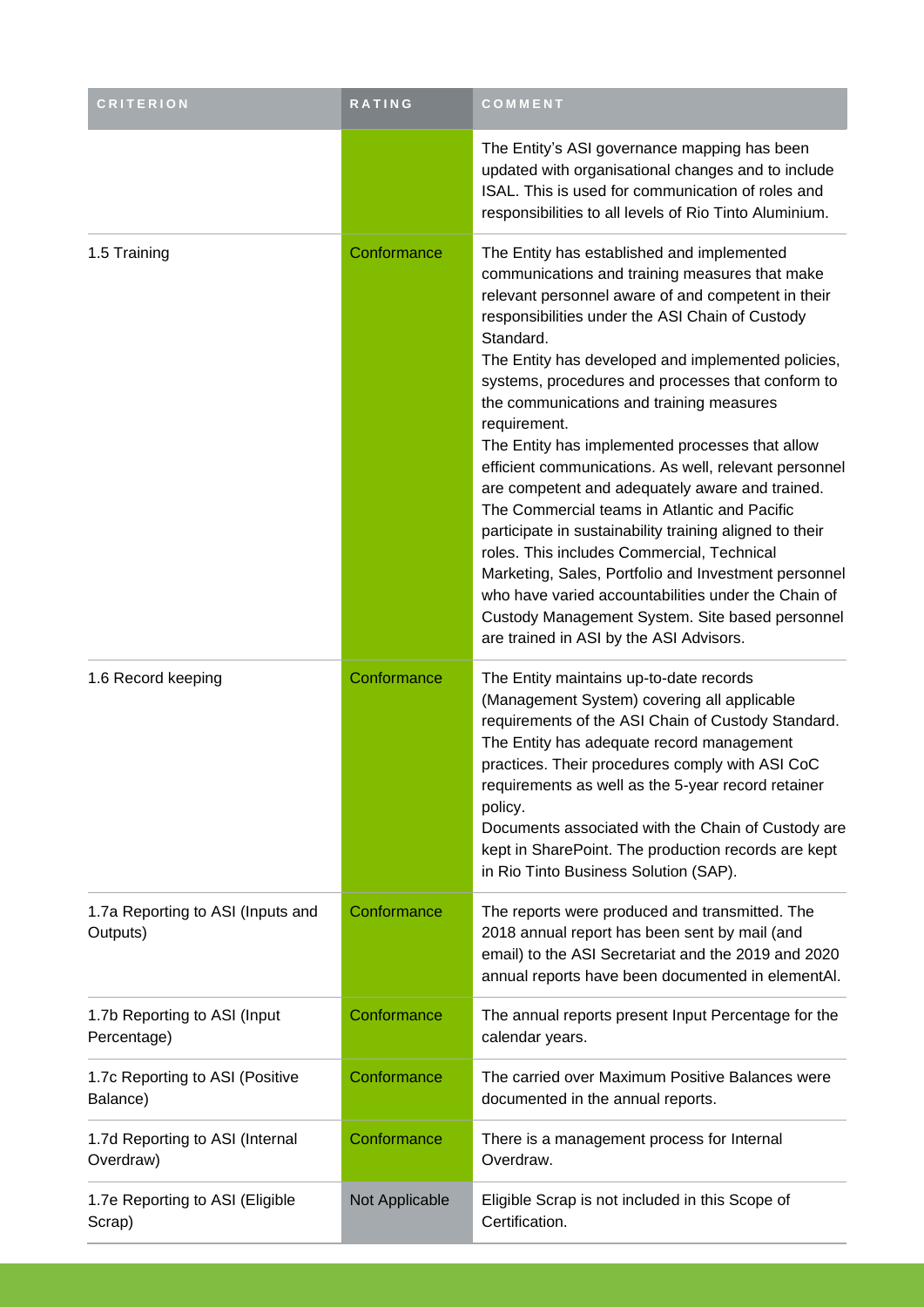| <b>CRITERION</b>                              | RATING         | COMMENT                                                                                                                                                                                                                                                                                                                                                                                                                                                                                                                                                                                                                                                                                                                                                                                                                                                                                                                        |
|-----------------------------------------------|----------------|--------------------------------------------------------------------------------------------------------------------------------------------------------------------------------------------------------------------------------------------------------------------------------------------------------------------------------------------------------------------------------------------------------------------------------------------------------------------------------------------------------------------------------------------------------------------------------------------------------------------------------------------------------------------------------------------------------------------------------------------------------------------------------------------------------------------------------------------------------------------------------------------------------------------------------|
|                                               |                | The Entity's ASI governance mapping has been<br>updated with organisational changes and to include<br>ISAL. This is used for communication of roles and<br>responsibilities to all levels of Rio Tinto Aluminium.                                                                                                                                                                                                                                                                                                                                                                                                                                                                                                                                                                                                                                                                                                              |
| 1.5 Training                                  | Conformance    | The Entity has established and implemented<br>communications and training measures that make<br>relevant personnel aware of and competent in their<br>responsibilities under the ASI Chain of Custody<br>Standard.<br>The Entity has developed and implemented policies,<br>systems, procedures and processes that conform to<br>the communications and training measures<br>requirement.<br>The Entity has implemented processes that allow<br>efficient communications. As well, relevant personnel<br>are competent and adequately aware and trained.<br>The Commercial teams in Atlantic and Pacific<br>participate in sustainability training aligned to their<br>roles. This includes Commercial, Technical<br>Marketing, Sales, Portfolio and Investment personnel<br>who have varied accountabilities under the Chain of<br>Custody Management System. Site based personnel<br>are trained in ASI by the ASI Advisors. |
| 1.6 Record keeping                            | Conformance    | The Entity maintains up-to-date records<br>(Management System) covering all applicable<br>requirements of the ASI Chain of Custody Standard.<br>The Entity has adequate record management<br>practices. Their procedures comply with ASI CoC<br>requirements as well as the 5-year record retainer<br>policy.<br>Documents associated with the Chain of Custody are<br>kept in SharePoint. The production records are kept<br>in Rio Tinto Business Solution (SAP).                                                                                                                                                                                                                                                                                                                                                                                                                                                            |
| 1.7a Reporting to ASI (Inputs and<br>Outputs) | Conformance    | The reports were produced and transmitted. The<br>2018 annual report has been sent by mail (and<br>email) to the ASI Secretariat and the 2019 and 2020<br>annual reports have been documented in elementAl.                                                                                                                                                                                                                                                                                                                                                                                                                                                                                                                                                                                                                                                                                                                    |
| 1.7b Reporting to ASI (Input<br>Percentage)   | Conformance    | The annual reports present Input Percentage for the<br>calendar years.                                                                                                                                                                                                                                                                                                                                                                                                                                                                                                                                                                                                                                                                                                                                                                                                                                                         |
| 1.7c Reporting to ASI (Positive<br>Balance)   | Conformance    | The carried over Maximum Positive Balances were<br>documented in the annual reports.                                                                                                                                                                                                                                                                                                                                                                                                                                                                                                                                                                                                                                                                                                                                                                                                                                           |
| 1.7d Reporting to ASI (Internal<br>Overdraw)  | Conformance    | There is a management process for Internal<br>Overdraw.                                                                                                                                                                                                                                                                                                                                                                                                                                                                                                                                                                                                                                                                                                                                                                                                                                                                        |
| 1.7e Reporting to ASI (Eligible<br>Scrap)     | Not Applicable | Eligible Scrap is not included in this Scope of<br>Certification.                                                                                                                                                                                                                                                                                                                                                                                                                                                                                                                                                                                                                                                                                                                                                                                                                                                              |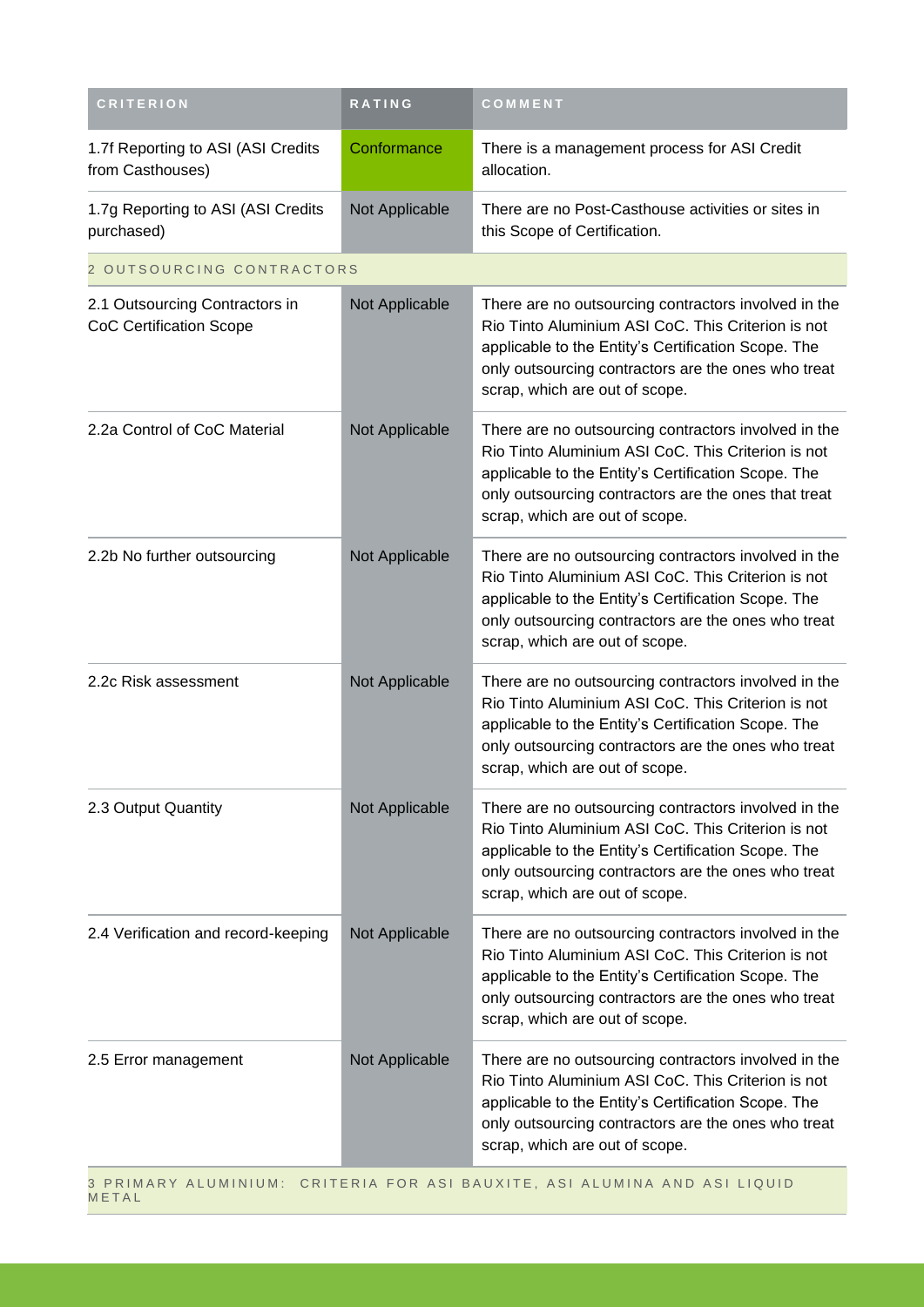| <b>CRITERION</b>                                                          | RATING         | COMMENT                                                                                                                                                                                                                                                     |
|---------------------------------------------------------------------------|----------------|-------------------------------------------------------------------------------------------------------------------------------------------------------------------------------------------------------------------------------------------------------------|
| 1.7f Reporting to ASI (ASI Credits<br>from Casthouses)                    | Conformance    | There is a management process for ASI Credit<br>allocation.                                                                                                                                                                                                 |
| 1.7g Reporting to ASI (ASI Credits<br>purchased)                          | Not Applicable | There are no Post-Casthouse activities or sites in<br>this Scope of Certification.                                                                                                                                                                          |
| 2 OUTSOURCING CONTRACTORS                                                 |                |                                                                                                                                                                                                                                                             |
| 2.1 Outsourcing Contractors in<br><b>CoC Certification Scope</b>          | Not Applicable | There are no outsourcing contractors involved in the<br>Rio Tinto Aluminium ASI CoC. This Criterion is not<br>applicable to the Entity's Certification Scope. The<br>only outsourcing contractors are the ones who treat<br>scrap, which are out of scope.  |
| 2.2a Control of CoC Material                                              | Not Applicable | There are no outsourcing contractors involved in the<br>Rio Tinto Aluminium ASI CoC. This Criterion is not<br>applicable to the Entity's Certification Scope. The<br>only outsourcing contractors are the ones that treat<br>scrap, which are out of scope. |
| 2.2b No further outsourcing                                               | Not Applicable | There are no outsourcing contractors involved in the<br>Rio Tinto Aluminium ASI CoC. This Criterion is not<br>applicable to the Entity's Certification Scope. The<br>only outsourcing contractors are the ones who treat<br>scrap, which are out of scope.  |
| 2.2c Risk assessment                                                      | Not Applicable | There are no outsourcing contractors involved in the<br>Rio Tinto Aluminium ASI CoC. This Criterion is not<br>applicable to the Entity's Certification Scope. The<br>only outsourcing contractors are the ones who treat<br>scrap, which are out of scope.  |
| 2.3 Output Quantity                                                       | Not Applicable | There are no outsourcing contractors involved in the<br>Rio Tinto Aluminium ASI CoC. This Criterion is not<br>applicable to the Entity's Certification Scope. The<br>only outsourcing contractors are the ones who treat<br>scrap, which are out of scope.  |
| 2.4 Verification and record-keeping                                       | Not Applicable | There are no outsourcing contractors involved in the<br>Rio Tinto Aluminium ASI CoC. This Criterion is not<br>applicable to the Entity's Certification Scope. The<br>only outsourcing contractors are the ones who treat<br>scrap, which are out of scope.  |
| 2.5 Error management                                                      | Not Applicable | There are no outsourcing contractors involved in the<br>Rio Tinto Aluminium ASI CoC. This Criterion is not<br>applicable to the Entity's Certification Scope. The<br>only outsourcing contractors are the ones who treat<br>scrap, which are out of scope.  |
| 3 PRIMARY ALUMINIUM: CRITERIA FOR ASI BAUXITE, ASI ALUMINA AND ASI LIQUID |                |                                                                                                                                                                                                                                                             |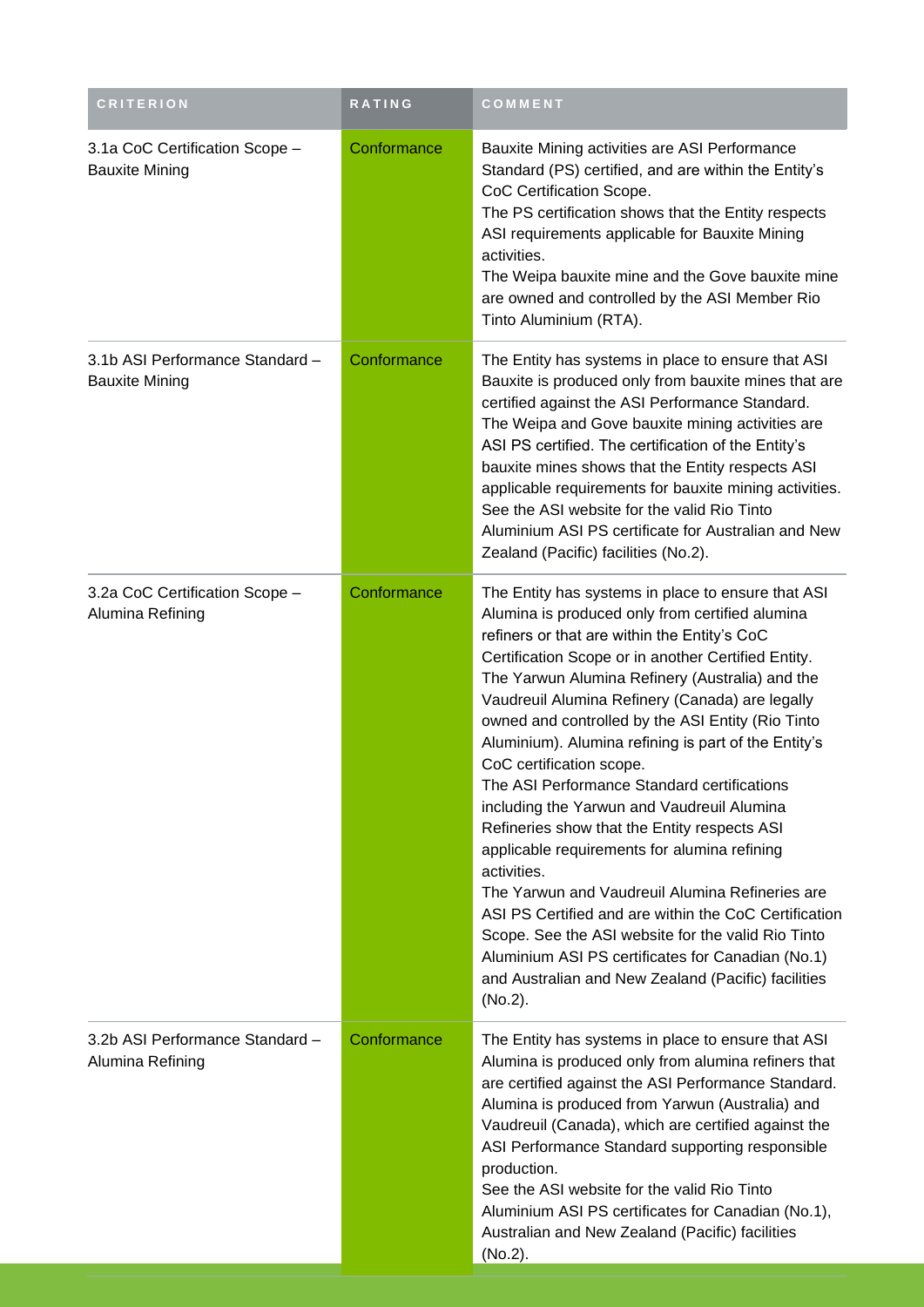| <b>CRITERION</b>                                         | RATING      | COMMENT                                                                                                                                                                                                                                                                                                                                                                                                                                                                                                                                                                                                                                                                                                                                                                                                                                                                                                                                                          |
|----------------------------------------------------------|-------------|------------------------------------------------------------------------------------------------------------------------------------------------------------------------------------------------------------------------------------------------------------------------------------------------------------------------------------------------------------------------------------------------------------------------------------------------------------------------------------------------------------------------------------------------------------------------------------------------------------------------------------------------------------------------------------------------------------------------------------------------------------------------------------------------------------------------------------------------------------------------------------------------------------------------------------------------------------------|
| 3.1a CoC Certification Scope -<br><b>Bauxite Mining</b>  | Conformance | Bauxite Mining activities are ASI Performance<br>Standard (PS) certified, and are within the Entity's<br>CoC Certification Scope.<br>The PS certification shows that the Entity respects<br>ASI requirements applicable for Bauxite Mining<br>activities.<br>The Weipa bauxite mine and the Gove bauxite mine<br>are owned and controlled by the ASI Member Rio<br>Tinto Aluminium (RTA).                                                                                                                                                                                                                                                                                                                                                                                                                                                                                                                                                                        |
| 3.1b ASI Performance Standard -<br><b>Bauxite Mining</b> | Conformance | The Entity has systems in place to ensure that ASI<br>Bauxite is produced only from bauxite mines that are<br>certified against the ASI Performance Standard.<br>The Weipa and Gove bauxite mining activities are<br>ASI PS certified. The certification of the Entity's<br>bauxite mines shows that the Entity respects ASI<br>applicable requirements for bauxite mining activities.<br>See the ASI website for the valid Rio Tinto<br>Aluminium ASI PS certificate for Australian and New<br>Zealand (Pacific) facilities (No.2).                                                                                                                                                                                                                                                                                                                                                                                                                             |
| 3.2a CoC Certification Scope -<br>Alumina Refining       | Conformance | The Entity has systems in place to ensure that ASI<br>Alumina is produced only from certified alumina<br>refiners or that are within the Entity's CoC<br>Certification Scope or in another Certified Entity.<br>The Yarwun Alumina Refinery (Australia) and the<br>Vaudreuil Alumina Refinery (Canada) are legally<br>owned and controlled by the ASI Entity (Rio Tinto<br>Aluminium). Alumina refining is part of the Entity's<br>CoC certification scope.<br>The ASI Performance Standard certifications<br>including the Yarwun and Vaudreuil Alumina<br>Refineries show that the Entity respects ASI<br>applicable requirements for alumina refining<br>activities.<br>The Yarwun and Vaudreuil Alumina Refineries are<br>ASI PS Certified and are within the CoC Certification<br>Scope. See the ASI website for the valid Rio Tinto<br>Aluminium ASI PS certificates for Canadian (No.1)<br>and Australian and New Zealand (Pacific) facilities<br>(No.2). |
| 3.2b ASI Performance Standard -<br>Alumina Refining      | Conformance | The Entity has systems in place to ensure that ASI<br>Alumina is produced only from alumina refiners that<br>are certified against the ASI Performance Standard.<br>Alumina is produced from Yarwun (Australia) and<br>Vaudreuil (Canada), which are certified against the<br>ASI Performance Standard supporting responsible<br>production.<br>See the ASI website for the valid Rio Tinto<br>Aluminium ASI PS certificates for Canadian (No.1),<br>Australian and New Zealand (Pacific) facilities<br>(No.2).                                                                                                                                                                                                                                                                                                                                                                                                                                                  |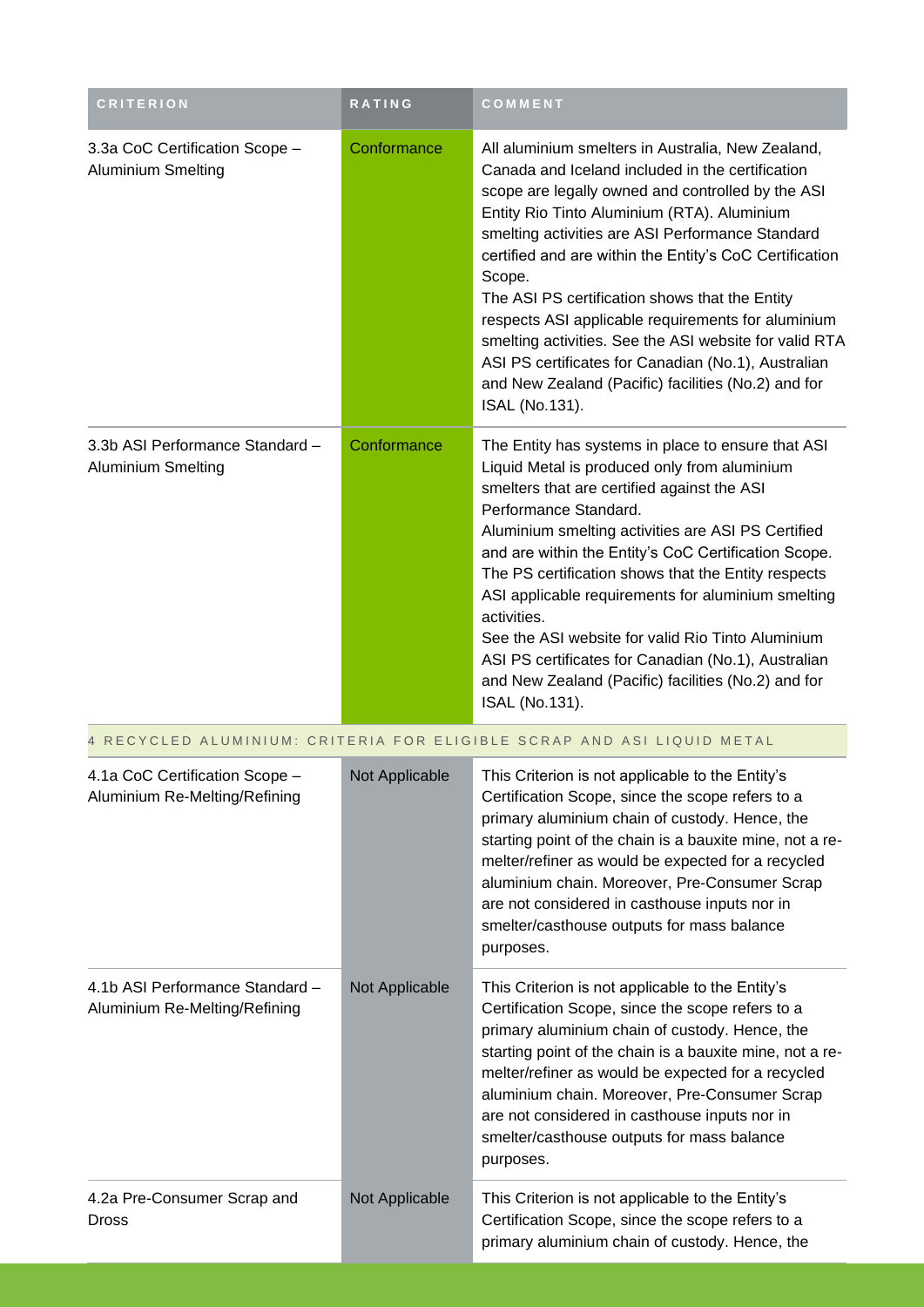| <b>CRITERION</b>                                                 | RATING                                                               | COMMENT                                                                                                                                                                                                                                                                                                                                                                                                                                                                                                                                                                                                                              |  |  |  |
|------------------------------------------------------------------|----------------------------------------------------------------------|--------------------------------------------------------------------------------------------------------------------------------------------------------------------------------------------------------------------------------------------------------------------------------------------------------------------------------------------------------------------------------------------------------------------------------------------------------------------------------------------------------------------------------------------------------------------------------------------------------------------------------------|--|--|--|
| 3.3a CoC Certification Scope -<br><b>Aluminium Smelting</b>      | Conformance                                                          | All aluminium smelters in Australia, New Zealand,<br>Canada and Iceland included in the certification<br>scope are legally owned and controlled by the ASI<br>Entity Rio Tinto Aluminium (RTA). Aluminium<br>smelting activities are ASI Performance Standard<br>certified and are within the Entity's CoC Certification<br>Scope.<br>The ASI PS certification shows that the Entity<br>respects ASI applicable requirements for aluminium<br>smelting activities. See the ASI website for valid RTA<br>ASI PS certificates for Canadian (No.1), Australian<br>and New Zealand (Pacific) facilities (No.2) and for<br>ISAL (No.131). |  |  |  |
| 3.3b ASI Performance Standard -<br><b>Aluminium Smelting</b>     | Conformance                                                          | The Entity has systems in place to ensure that ASI<br>Liquid Metal is produced only from aluminium<br>smelters that are certified against the ASI<br>Performance Standard.<br>Aluminium smelting activities are ASI PS Certified<br>and are within the Entity's CoC Certification Scope.<br>The PS certification shows that the Entity respects<br>ASI applicable requirements for aluminium smelting<br>activities.<br>See the ASI website for valid Rio Tinto Aluminium<br>ASI PS certificates for Canadian (No.1), Australian<br>and New Zealand (Pacific) facilities (No.2) and for<br>ISAL (No.131).                            |  |  |  |
|                                                                  | RECYCLED ALUMINIUM: CRITERIA FOR ELIGIBLE SCRAP AND ASI LIQUID METAL |                                                                                                                                                                                                                                                                                                                                                                                                                                                                                                                                                                                                                                      |  |  |  |
| 4.1a CoC Certification Scope -<br>Aluminium Re-Melting/Refining  | Not Applicable                                                       | This Criterion is not applicable to the Entity's<br>Certification Scope, since the scope refers to a<br>primary aluminium chain of custody. Hence, the<br>starting point of the chain is a bauxite mine, not a re-<br>melter/refiner as would be expected for a recycled<br>aluminium chain. Moreover, Pre-Consumer Scrap<br>are not considered in casthouse inputs nor in<br>smelter/casthouse outputs for mass balance<br>purposes.                                                                                                                                                                                                |  |  |  |
| 4.1b ASI Performance Standard -<br>Aluminium Re-Melting/Refining | Not Applicable                                                       | This Criterion is not applicable to the Entity's<br>Certification Scope, since the scope refers to a<br>primary aluminium chain of custody. Hence, the<br>starting point of the chain is a bauxite mine, not a re-<br>melter/refiner as would be expected for a recycled<br>aluminium chain. Moreover, Pre-Consumer Scrap<br>are not considered in casthouse inputs nor in<br>smelter/casthouse outputs for mass balance<br>purposes.                                                                                                                                                                                                |  |  |  |
| 4.2a Pre-Consumer Scrap and<br><b>Dross</b>                      | Not Applicable                                                       | This Criterion is not applicable to the Entity's<br>Certification Scope, since the scope refers to a<br>primary aluminium chain of custody. Hence, the                                                                                                                                                                                                                                                                                                                                                                                                                                                                               |  |  |  |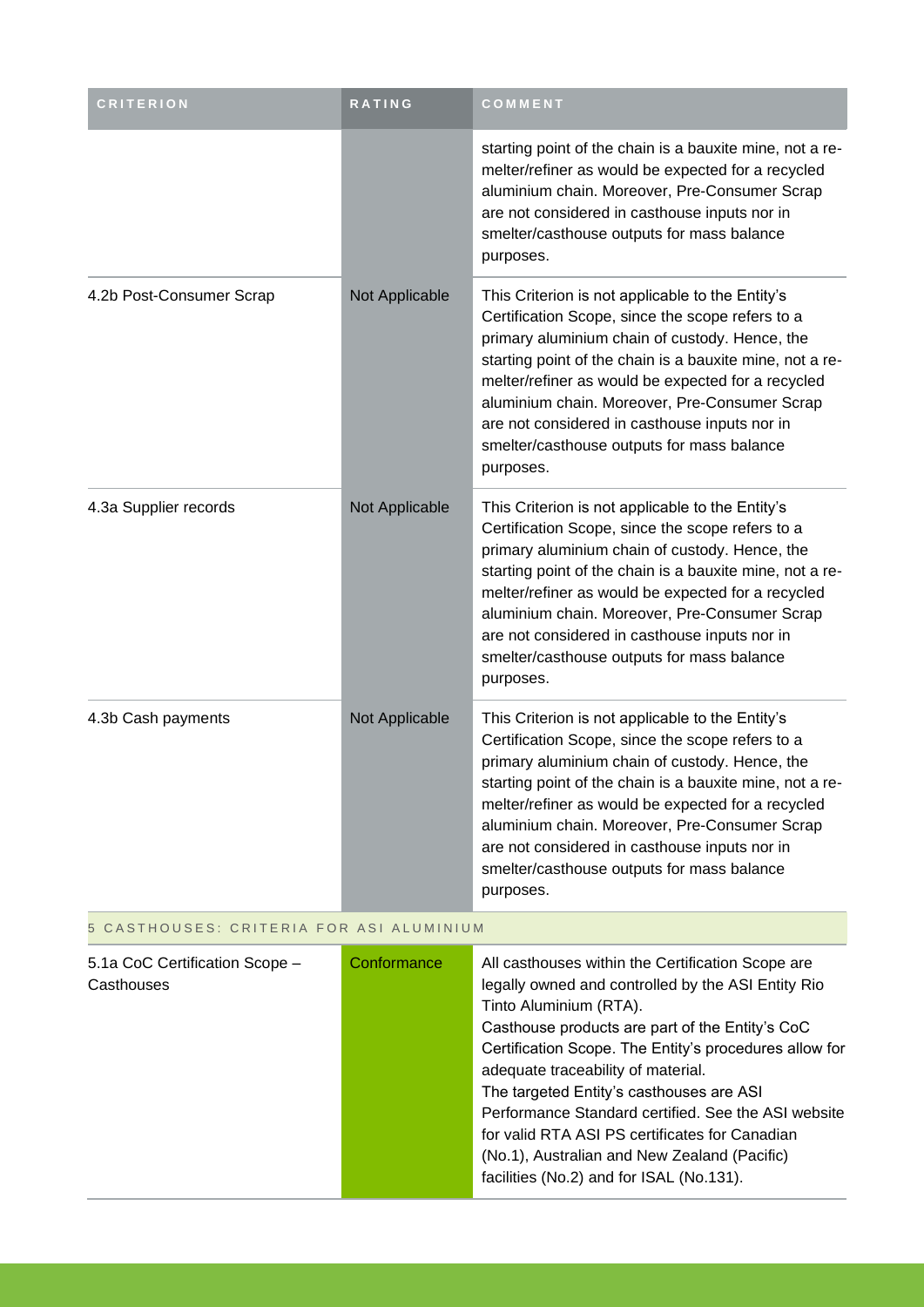| <b>CRITERION</b>                             | <b>RATING</b>  | COMMENT                                                                                                                                                                                                                                                                                                                                                                                                                               |  |
|----------------------------------------------|----------------|---------------------------------------------------------------------------------------------------------------------------------------------------------------------------------------------------------------------------------------------------------------------------------------------------------------------------------------------------------------------------------------------------------------------------------------|--|
|                                              |                | starting point of the chain is a bauxite mine, not a re-<br>melter/refiner as would be expected for a recycled<br>aluminium chain. Moreover, Pre-Consumer Scrap<br>are not considered in casthouse inputs nor in<br>smelter/casthouse outputs for mass balance<br>purposes.                                                                                                                                                           |  |
| 4.2b Post-Consumer Scrap                     | Not Applicable | This Criterion is not applicable to the Entity's<br>Certification Scope, since the scope refers to a<br>primary aluminium chain of custody. Hence, the<br>starting point of the chain is a bauxite mine, not a re-<br>melter/refiner as would be expected for a recycled<br>aluminium chain. Moreover, Pre-Consumer Scrap<br>are not considered in casthouse inputs nor in<br>smelter/casthouse outputs for mass balance<br>purposes. |  |
| 4.3a Supplier records                        | Not Applicable | This Criterion is not applicable to the Entity's<br>Certification Scope, since the scope refers to a<br>primary aluminium chain of custody. Hence, the<br>starting point of the chain is a bauxite mine, not a re-<br>melter/refiner as would be expected for a recycled<br>aluminium chain. Moreover, Pre-Consumer Scrap<br>are not considered in casthouse inputs nor in<br>smelter/casthouse outputs for mass balance<br>purposes. |  |
| 4.3b Cash payments                           | Not Applicable | This Criterion is not applicable to the Entity's<br>Certification Scope, since the scope refers to a<br>primary aluminium chain of custody. Hence, the<br>starting point of the chain is a bauxite mine, not a re-<br>melter/refiner as would be expected for a recycled<br>aluminium chain. Moreover, Pre-Consumer Scrap<br>are not considered in casthouse inputs nor in<br>smelter/casthouse outputs for mass balance<br>purposes. |  |
| 5 CASTHOUSES: CRITERIA FOR ASI ALUMINIUM     |                |                                                                                                                                                                                                                                                                                                                                                                                                                                       |  |
| 5.1a CoC Certification Scope -<br>Casthouses | Conformance    | All casthouses within the Certification Scope are<br>legally owned and controlled by the ASI Entity Rio<br>Tinto Aluminium (RTA).                                                                                                                                                                                                                                                                                                     |  |

| udsliiuuses | regarity owned and contributed by the AST Entity Rio   |
|-------------|--------------------------------------------------------|
|             | Tinto Aluminium (RTA).                                 |
|             | Casthouse products are part of the Entity's CoC        |
|             | Certification Scope. The Entity's procedures allow for |
|             | adequate traceability of material.                     |
|             | The targeted Entity's casthouses are ASI               |
|             | Performance Standard certified. See the ASI website    |
|             | for valid RTA ASI PS certificates for Canadian         |
|             | (No.1), Australian and New Zealand (Pacific)           |
|             | facilities (No.2) and for ISAL (No.131).               |
|             |                                                        |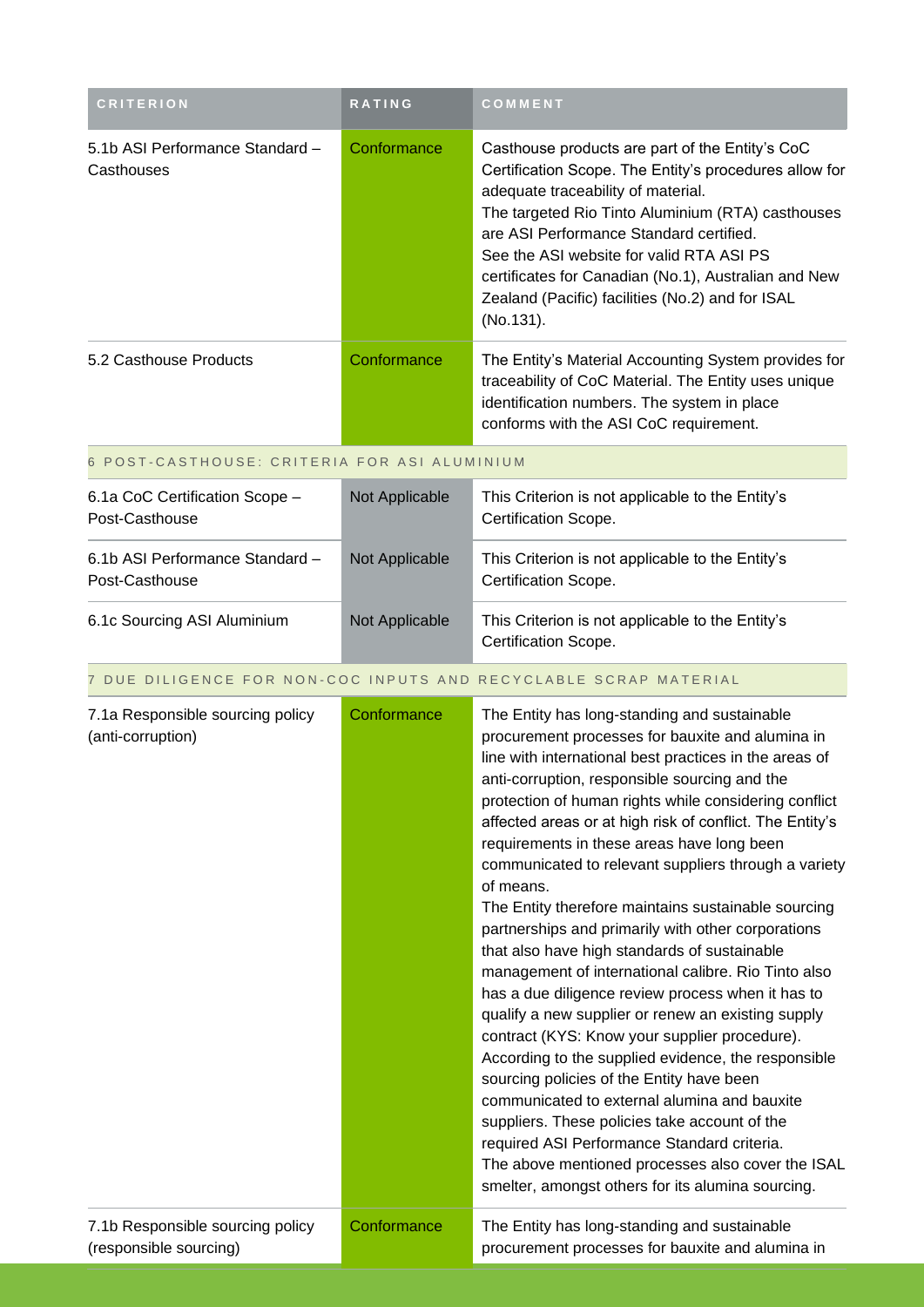| <b>CRITERION</b>                                           | RATING         | COMMENT                                                                                                                                                                                                                                                                                                                                                                                                                                                                                                                                                                                                                                                                                                                                                                                                                                                                                                                                                                                                                                                                                                                                                                                           |
|------------------------------------------------------------|----------------|---------------------------------------------------------------------------------------------------------------------------------------------------------------------------------------------------------------------------------------------------------------------------------------------------------------------------------------------------------------------------------------------------------------------------------------------------------------------------------------------------------------------------------------------------------------------------------------------------------------------------------------------------------------------------------------------------------------------------------------------------------------------------------------------------------------------------------------------------------------------------------------------------------------------------------------------------------------------------------------------------------------------------------------------------------------------------------------------------------------------------------------------------------------------------------------------------|
| 5.1b ASI Performance Standard -<br>Casthouses              | Conformance    | Casthouse products are part of the Entity's CoC<br>Certification Scope. The Entity's procedures allow for<br>adequate traceability of material.<br>The targeted Rio Tinto Aluminium (RTA) casthouses<br>are ASI Performance Standard certified.<br>See the ASI website for valid RTA ASI PS<br>certificates for Canadian (No.1), Australian and New<br>Zealand (Pacific) facilities (No.2) and for ISAL<br>(No.131).                                                                                                                                                                                                                                                                                                                                                                                                                                                                                                                                                                                                                                                                                                                                                                              |
| 5.2 Casthouse Products                                     | Conformance    | The Entity's Material Accounting System provides for<br>traceability of CoC Material. The Entity uses unique<br>identification numbers. The system in place<br>conforms with the ASI CoC requirement.                                                                                                                                                                                                                                                                                                                                                                                                                                                                                                                                                                                                                                                                                                                                                                                                                                                                                                                                                                                             |
| 6 POST-CASTHOUSE: CRITERIA FOR ASI ALUMINIUM               |                |                                                                                                                                                                                                                                                                                                                                                                                                                                                                                                                                                                                                                                                                                                                                                                                                                                                                                                                                                                                                                                                                                                                                                                                                   |
| 6.1a CoC Certification Scope -<br>Post-Casthouse           | Not Applicable | This Criterion is not applicable to the Entity's<br>Certification Scope.                                                                                                                                                                                                                                                                                                                                                                                                                                                                                                                                                                                                                                                                                                                                                                                                                                                                                                                                                                                                                                                                                                                          |
| 6.1b ASI Performance Standard -<br>Post-Casthouse          | Not Applicable | This Criterion is not applicable to the Entity's<br>Certification Scope.                                                                                                                                                                                                                                                                                                                                                                                                                                                                                                                                                                                                                                                                                                                                                                                                                                                                                                                                                                                                                                                                                                                          |
| 6.1c Sourcing ASI Aluminium                                | Not Applicable | This Criterion is not applicable to the Entity's<br>Certification Scope.                                                                                                                                                                                                                                                                                                                                                                                                                                                                                                                                                                                                                                                                                                                                                                                                                                                                                                                                                                                                                                                                                                                          |
|                                                            |                | 7 DUE DILIGENCE FOR NON-COC INPUTS AND RECYCLABLE SCRAP MATERIAL                                                                                                                                                                                                                                                                                                                                                                                                                                                                                                                                                                                                                                                                                                                                                                                                                                                                                                                                                                                                                                                                                                                                  |
| 7.1a Responsible sourcing policy<br>(anti-corruption)      | Conformance    | The Entity has long-standing and sustainable<br>procurement processes for bauxite and alumina in<br>line with international best practices in the areas of<br>anti-corruption, responsible sourcing and the<br>protection of human rights while considering conflict<br>affected areas or at high risk of conflict. The Entity's<br>requirements in these areas have long been<br>communicated to relevant suppliers through a variety<br>of means.<br>The Entity therefore maintains sustainable sourcing<br>partnerships and primarily with other corporations<br>that also have high standards of sustainable<br>management of international calibre. Rio Tinto also<br>has a due diligence review process when it has to<br>qualify a new supplier or renew an existing supply<br>contract (KYS: Know your supplier procedure).<br>According to the supplied evidence, the responsible<br>sourcing policies of the Entity have been<br>communicated to external alumina and bauxite<br>suppliers. These policies take account of the<br>required ASI Performance Standard criteria.<br>The above mentioned processes also cover the ISAL<br>smelter, amongst others for its alumina sourcing. |
| 7.1b Responsible sourcing policy<br>(responsible sourcing) | Conformance    | The Entity has long-standing and sustainable<br>procurement processes for bauxite and alumina in                                                                                                                                                                                                                                                                                                                                                                                                                                                                                                                                                                                                                                                                                                                                                                                                                                                                                                                                                                                                                                                                                                  |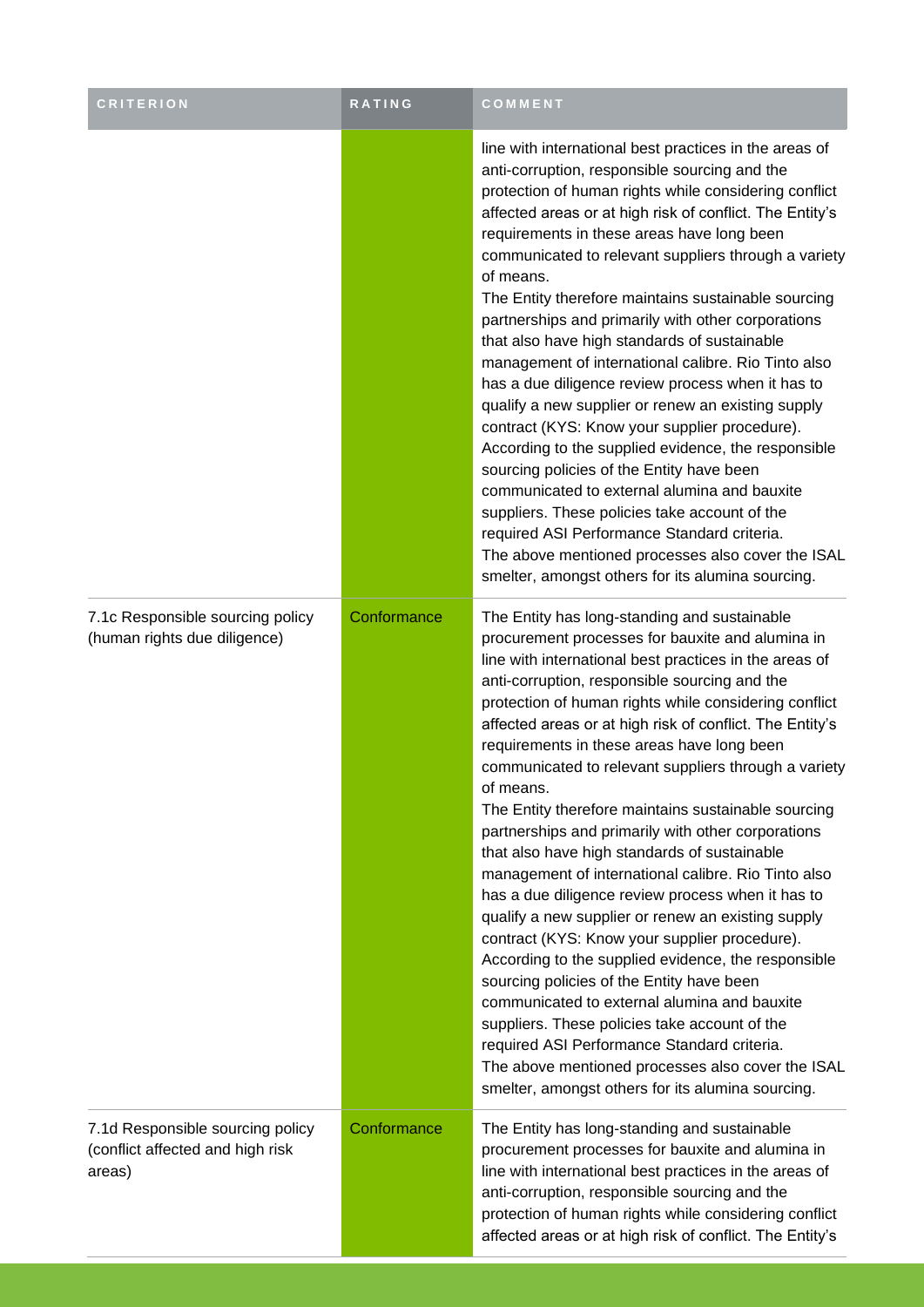| <b>CRITERION</b>                                                               | RATING      | COMMENT                                                                                                                                                                                                                                                                                                                                                                                                                                                                                                                                                                                                                                                                                                                                                                                                                                                                                                                                                                                                                                                                                                                                                                                           |
|--------------------------------------------------------------------------------|-------------|---------------------------------------------------------------------------------------------------------------------------------------------------------------------------------------------------------------------------------------------------------------------------------------------------------------------------------------------------------------------------------------------------------------------------------------------------------------------------------------------------------------------------------------------------------------------------------------------------------------------------------------------------------------------------------------------------------------------------------------------------------------------------------------------------------------------------------------------------------------------------------------------------------------------------------------------------------------------------------------------------------------------------------------------------------------------------------------------------------------------------------------------------------------------------------------------------|
|                                                                                |             | line with international best practices in the areas of<br>anti-corruption, responsible sourcing and the<br>protection of human rights while considering conflict<br>affected areas or at high risk of conflict. The Entity's<br>requirements in these areas have long been<br>communicated to relevant suppliers through a variety<br>of means.<br>The Entity therefore maintains sustainable sourcing<br>partnerships and primarily with other corporations<br>that also have high standards of sustainable<br>management of international calibre. Rio Tinto also<br>has a due diligence review process when it has to<br>qualify a new supplier or renew an existing supply<br>contract (KYS: Know your supplier procedure).<br>According to the supplied evidence, the responsible<br>sourcing policies of the Entity have been<br>communicated to external alumina and bauxite<br>suppliers. These policies take account of the<br>required ASI Performance Standard criteria.<br>The above mentioned processes also cover the ISAL<br>smelter, amongst others for its alumina sourcing.                                                                                                     |
| 7.1c Responsible sourcing policy<br>(human rights due diligence)               | Conformance | The Entity has long-standing and sustainable<br>procurement processes for bauxite and alumina in<br>line with international best practices in the areas of<br>anti-corruption, responsible sourcing and the<br>protection of human rights while considering conflict<br>affected areas or at high risk of conflict. The Entity's<br>requirements in these areas have long been<br>communicated to relevant suppliers through a variety<br>of means.<br>The Entity therefore maintains sustainable sourcing<br>partnerships and primarily with other corporations<br>that also have high standards of sustainable<br>management of international calibre. Rio Tinto also<br>has a due diligence review process when it has to<br>qualify a new supplier or renew an existing supply<br>contract (KYS: Know your supplier procedure).<br>According to the supplied evidence, the responsible<br>sourcing policies of the Entity have been<br>communicated to external alumina and bauxite<br>suppliers. These policies take account of the<br>required ASI Performance Standard criteria.<br>The above mentioned processes also cover the ISAL<br>smelter, amongst others for its alumina sourcing. |
| 7.1d Responsible sourcing policy<br>(conflict affected and high risk<br>areas) | Conformance | The Entity has long-standing and sustainable<br>procurement processes for bauxite and alumina in<br>line with international best practices in the areas of<br>anti-corruption, responsible sourcing and the<br>protection of human rights while considering conflict<br>affected areas or at high risk of conflict. The Entity's                                                                                                                                                                                                                                                                                                                                                                                                                                                                                                                                                                                                                                                                                                                                                                                                                                                                  |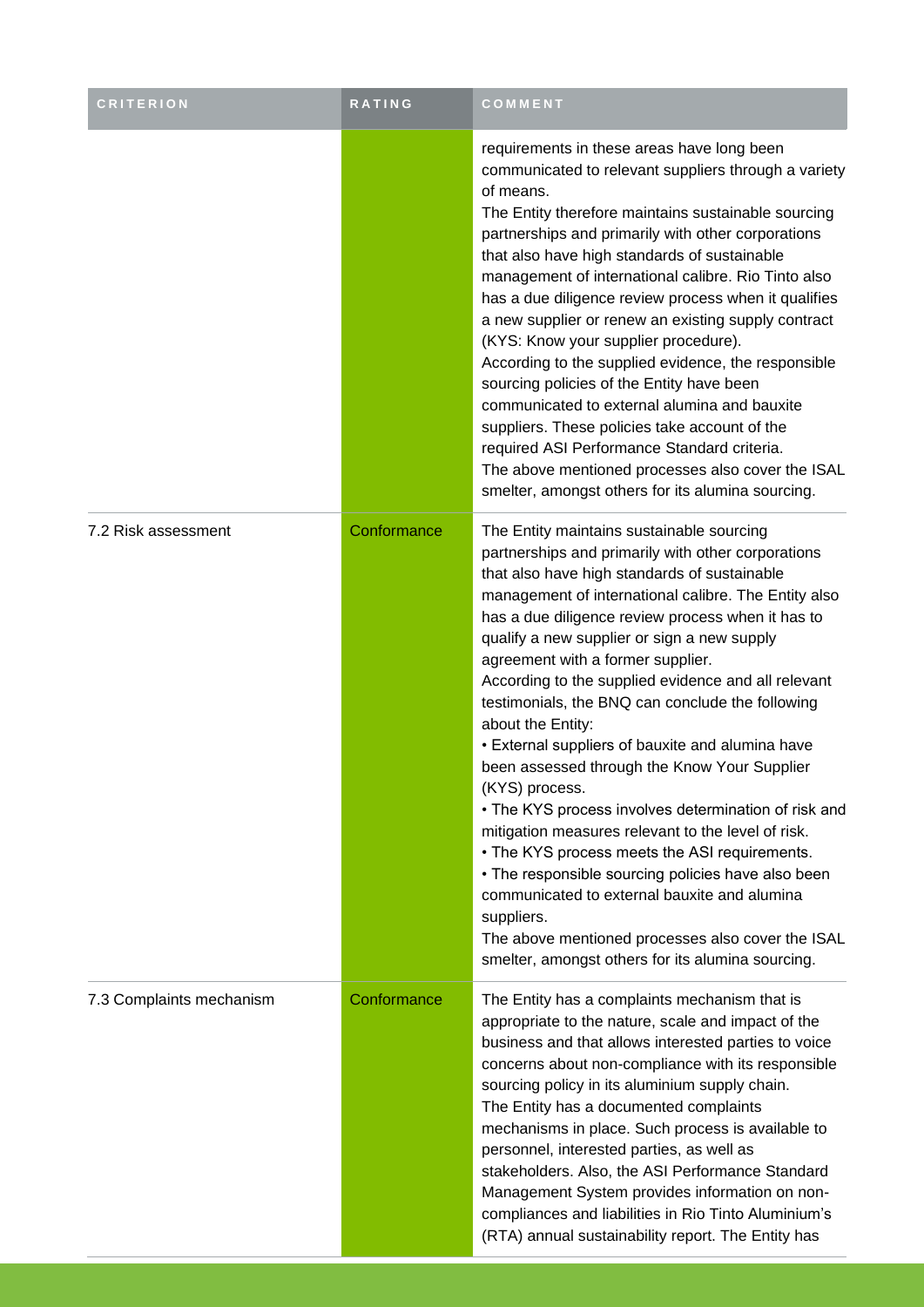| <b>CRITERION</b>         | RATING      | COMMENT                                                                                                                                                                                                                                                                                                                                                                                                                                                                                                                                                                                                                                                                                                                                                                                                                                                                                                                                                                                             |
|--------------------------|-------------|-----------------------------------------------------------------------------------------------------------------------------------------------------------------------------------------------------------------------------------------------------------------------------------------------------------------------------------------------------------------------------------------------------------------------------------------------------------------------------------------------------------------------------------------------------------------------------------------------------------------------------------------------------------------------------------------------------------------------------------------------------------------------------------------------------------------------------------------------------------------------------------------------------------------------------------------------------------------------------------------------------|
|                          |             | requirements in these areas have long been<br>communicated to relevant suppliers through a variety<br>of means.<br>The Entity therefore maintains sustainable sourcing<br>partnerships and primarily with other corporations<br>that also have high standards of sustainable<br>management of international calibre. Rio Tinto also<br>has a due diligence review process when it qualifies<br>a new supplier or renew an existing supply contract<br>(KYS: Know your supplier procedure).<br>According to the supplied evidence, the responsible<br>sourcing policies of the Entity have been<br>communicated to external alumina and bauxite<br>suppliers. These policies take account of the<br>required ASI Performance Standard criteria.<br>The above mentioned processes also cover the ISAL<br>smelter, amongst others for its alumina sourcing.                                                                                                                                            |
| 7.2 Risk assessment      | Conformance | The Entity maintains sustainable sourcing<br>partnerships and primarily with other corporations<br>that also have high standards of sustainable<br>management of international calibre. The Entity also<br>has a due diligence review process when it has to<br>qualify a new supplier or sign a new supply<br>agreement with a former supplier.<br>According to the supplied evidence and all relevant<br>testimonials, the BNQ can conclude the following<br>about the Entity:<br>• External suppliers of bauxite and alumina have<br>been assessed through the Know Your Supplier<br>(KYS) process.<br>• The KYS process involves determination of risk and<br>mitigation measures relevant to the level of risk.<br>• The KYS process meets the ASI requirements.<br>• The responsible sourcing policies have also been<br>communicated to external bauxite and alumina<br>suppliers.<br>The above mentioned processes also cover the ISAL<br>smelter, amongst others for its alumina sourcing. |
| 7.3 Complaints mechanism | Conformance | The Entity has a complaints mechanism that is<br>appropriate to the nature, scale and impact of the<br>business and that allows interested parties to voice<br>concerns about non-compliance with its responsible<br>sourcing policy in its aluminium supply chain.<br>The Entity has a documented complaints<br>mechanisms in place. Such process is available to<br>personnel, interested parties, as well as<br>stakeholders. Also, the ASI Performance Standard<br>Management System provides information on non-<br>compliances and liabilities in Rio Tinto Aluminium's<br>(RTA) annual sustainability report. The Entity has                                                                                                                                                                                                                                                                                                                                                                 |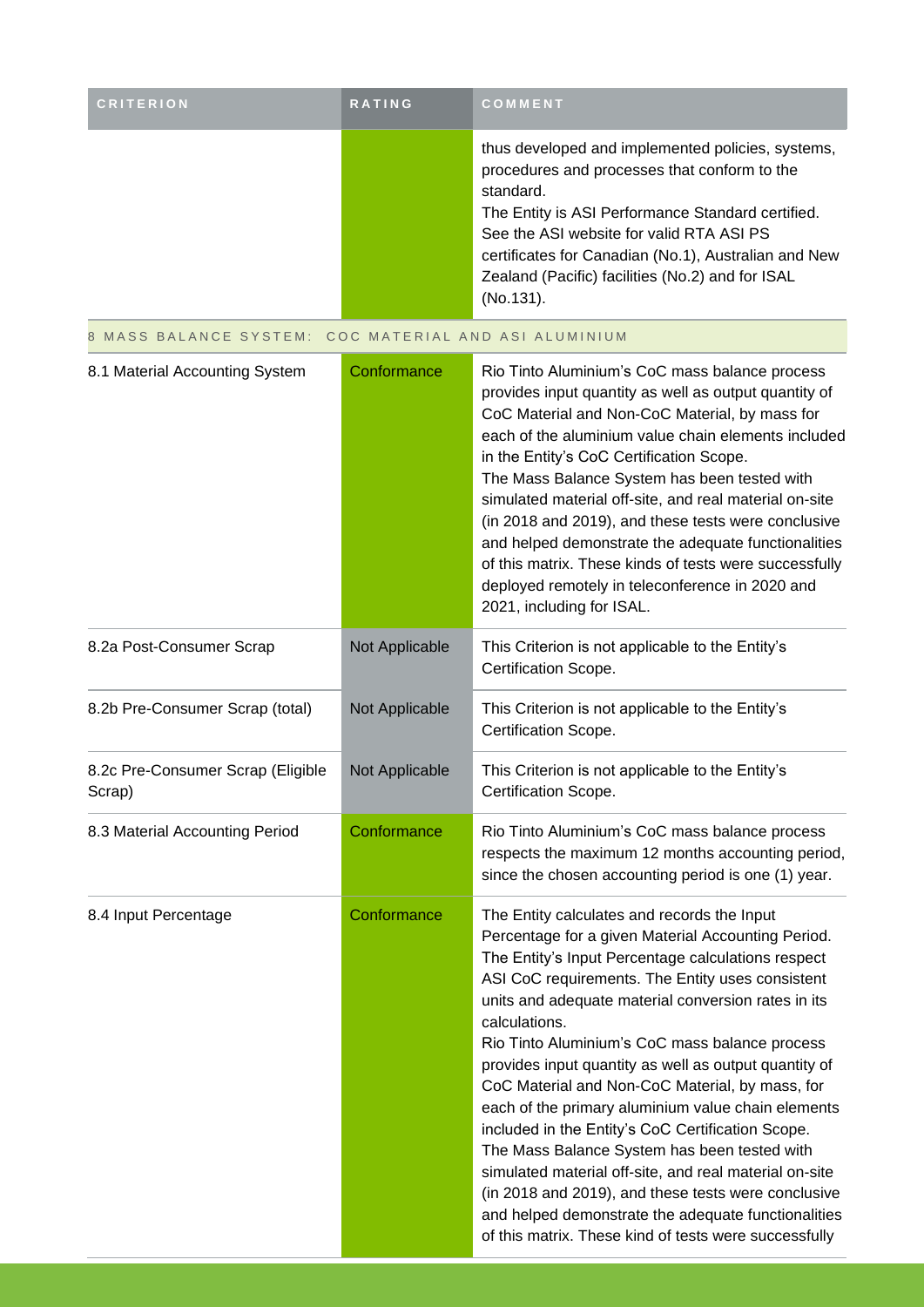| <b>CRITERION</b> | <b>RATING</b> | <b>COMMENT</b>                                                                                                                                                                                                                                                                                                                           |
|------------------|---------------|------------------------------------------------------------------------------------------------------------------------------------------------------------------------------------------------------------------------------------------------------------------------------------------------------------------------------------------|
|                  |               | thus developed and implemented policies, systems,<br>procedures and processes that conform to the<br>standard.<br>The Entity is ASI Performance Standard certified.<br>See the ASI website for valid RTA ASI PS<br>certificates for Canadian (No.1), Australian and New<br>Zealand (Pacific) facilities (No.2) and for ISAL<br>(No.131). |

8 MASS BALANCE SYSTEM: COC MATERIAL AND ASI ALUMINIUM

| 8.1 Material Accounting System              | Conformance    | Rio Tinto Aluminium's CoC mass balance process<br>provides input quantity as well as output quantity of<br>CoC Material and Non-CoC Material, by mass for<br>each of the aluminium value chain elements included<br>in the Entity's CoC Certification Scope.<br>The Mass Balance System has been tested with<br>simulated material off-site, and real material on-site<br>(in 2018 and 2019), and these tests were conclusive<br>and helped demonstrate the adequate functionalities<br>of this matrix. These kinds of tests were successfully<br>deployed remotely in teleconference in 2020 and<br>2021, including for ISAL.                                                                                                                                                                                                                |
|---------------------------------------------|----------------|-----------------------------------------------------------------------------------------------------------------------------------------------------------------------------------------------------------------------------------------------------------------------------------------------------------------------------------------------------------------------------------------------------------------------------------------------------------------------------------------------------------------------------------------------------------------------------------------------------------------------------------------------------------------------------------------------------------------------------------------------------------------------------------------------------------------------------------------------|
| 8.2a Post-Consumer Scrap                    | Not Applicable | This Criterion is not applicable to the Entity's<br>Certification Scope.                                                                                                                                                                                                                                                                                                                                                                                                                                                                                                                                                                                                                                                                                                                                                                      |
| 8.2b Pre-Consumer Scrap (total)             | Not Applicable | This Criterion is not applicable to the Entity's<br>Certification Scope.                                                                                                                                                                                                                                                                                                                                                                                                                                                                                                                                                                                                                                                                                                                                                                      |
| 8.2c Pre-Consumer Scrap (Eligible<br>Scrap) | Not Applicable | This Criterion is not applicable to the Entity's<br>Certification Scope.                                                                                                                                                                                                                                                                                                                                                                                                                                                                                                                                                                                                                                                                                                                                                                      |
| 8.3 Material Accounting Period              | Conformance    | Rio Tinto Aluminium's CoC mass balance process<br>respects the maximum 12 months accounting period,<br>since the chosen accounting period is one (1) year.                                                                                                                                                                                                                                                                                                                                                                                                                                                                                                                                                                                                                                                                                    |
| 8.4 Input Percentage                        | Conformance    | The Entity calculates and records the Input<br>Percentage for a given Material Accounting Period.<br>The Entity's Input Percentage calculations respect<br>ASI CoC requirements. The Entity uses consistent<br>units and adequate material conversion rates in its<br>calculations.<br>Rio Tinto Aluminium's CoC mass balance process<br>provides input quantity as well as output quantity of<br>CoC Material and Non-CoC Material, by mass, for<br>each of the primary aluminium value chain elements<br>included in the Entity's CoC Certification Scope.<br>The Mass Balance System has been tested with<br>simulated material off-site, and real material on-site<br>(in 2018 and 2019), and these tests were conclusive<br>and helped demonstrate the adequate functionalities<br>of this matrix. These kind of tests were successfully |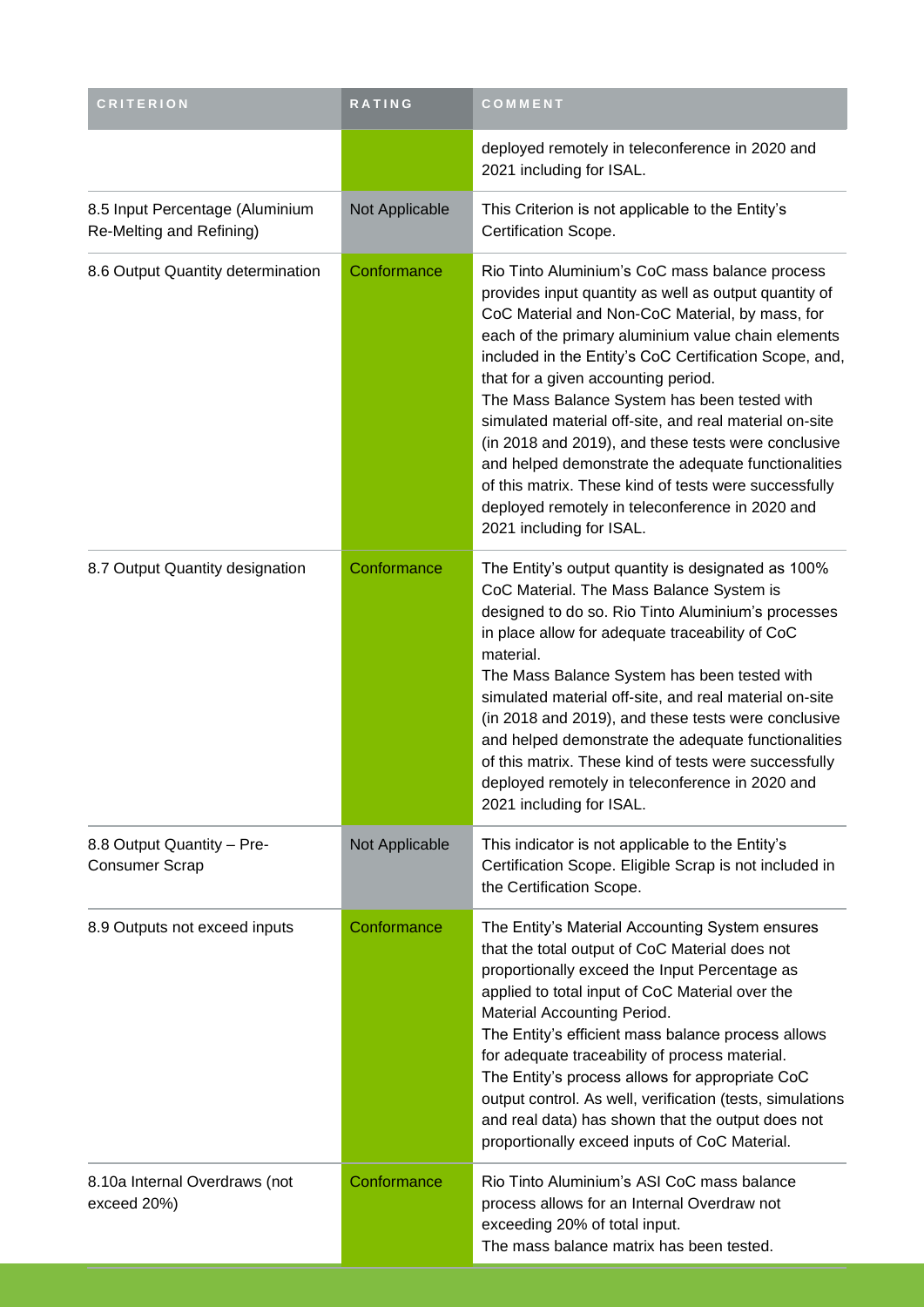| <b>CRITERION</b>                                            | <b>RATING</b>  | COMMENT                                                                                                                                                                                                                                                                                                                                                                                                                                                                                                                                                                                                                                                                           |
|-------------------------------------------------------------|----------------|-----------------------------------------------------------------------------------------------------------------------------------------------------------------------------------------------------------------------------------------------------------------------------------------------------------------------------------------------------------------------------------------------------------------------------------------------------------------------------------------------------------------------------------------------------------------------------------------------------------------------------------------------------------------------------------|
|                                                             |                | deployed remotely in teleconference in 2020 and<br>2021 including for ISAL.                                                                                                                                                                                                                                                                                                                                                                                                                                                                                                                                                                                                       |
| 8.5 Input Percentage (Aluminium<br>Re-Melting and Refining) | Not Applicable | This Criterion is not applicable to the Entity's<br>Certification Scope.                                                                                                                                                                                                                                                                                                                                                                                                                                                                                                                                                                                                          |
| 8.6 Output Quantity determination                           | Conformance    | Rio Tinto Aluminium's CoC mass balance process<br>provides input quantity as well as output quantity of<br>CoC Material and Non-CoC Material, by mass, for<br>each of the primary aluminium value chain elements<br>included in the Entity's CoC Certification Scope, and,<br>that for a given accounting period.<br>The Mass Balance System has been tested with<br>simulated material off-site, and real material on-site<br>(in 2018 and 2019), and these tests were conclusive<br>and helped demonstrate the adequate functionalities<br>of this matrix. These kind of tests were successfully<br>deployed remotely in teleconference in 2020 and<br>2021 including for ISAL. |
| 8.7 Output Quantity designation                             | Conformance    | The Entity's output quantity is designated as 100%<br>CoC Material. The Mass Balance System is<br>designed to do so. Rio Tinto Aluminium's processes<br>in place allow for adequate traceability of CoC<br>material.<br>The Mass Balance System has been tested with<br>simulated material off-site, and real material on-site<br>(in 2018 and 2019), and these tests were conclusive<br>and helped demonstrate the adequate functionalities<br>of this matrix. These kind of tests were successfully<br>deployed remotely in teleconference in 2020 and<br>2021 including for ISAL.                                                                                              |
| 8.8 Output Quantity - Pre-<br><b>Consumer Scrap</b>         | Not Applicable | This indicator is not applicable to the Entity's<br>Certification Scope. Eligible Scrap is not included in<br>the Certification Scope.                                                                                                                                                                                                                                                                                                                                                                                                                                                                                                                                            |
| 8.9 Outputs not exceed inputs                               | Conformance    | The Entity's Material Accounting System ensures<br>that the total output of CoC Material does not<br>proportionally exceed the Input Percentage as<br>applied to total input of CoC Material over the<br>Material Accounting Period.<br>The Entity's efficient mass balance process allows<br>for adequate traceability of process material.<br>The Entity's process allows for appropriate CoC<br>output control. As well, verification (tests, simulations<br>and real data) has shown that the output does not<br>proportionally exceed inputs of CoC Material.                                                                                                                |
| 8.10a Internal Overdraws (not<br>exceed 20%)                | Conformance    | Rio Tinto Aluminium's ASI CoC mass balance<br>process allows for an Internal Overdraw not<br>exceeding 20% of total input.<br>The mass balance matrix has been tested.                                                                                                                                                                                                                                                                                                                                                                                                                                                                                                            |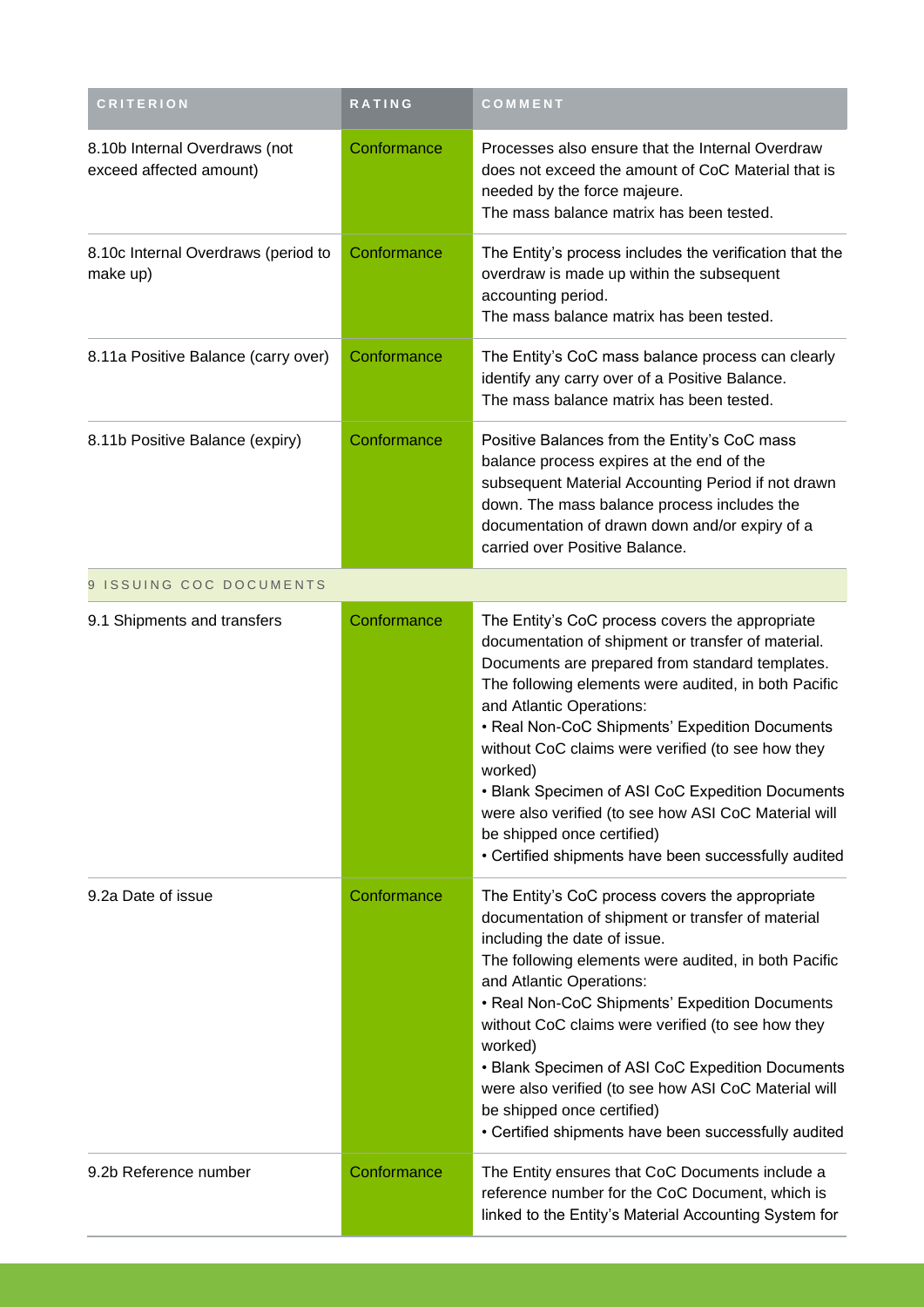| <b>CRITERION</b>                                         | <b>RATING</b> | COMMENT                                                                                                                                                                                                                                                                                                                                                                                                                                                                                                                                                          |
|----------------------------------------------------------|---------------|------------------------------------------------------------------------------------------------------------------------------------------------------------------------------------------------------------------------------------------------------------------------------------------------------------------------------------------------------------------------------------------------------------------------------------------------------------------------------------------------------------------------------------------------------------------|
| 8.10b Internal Overdraws (not<br>exceed affected amount) | Conformance   | Processes also ensure that the Internal Overdraw<br>does not exceed the amount of CoC Material that is<br>needed by the force majeure.<br>The mass balance matrix has been tested.                                                                                                                                                                                                                                                                                                                                                                               |
| 8.10c Internal Overdraws (period to<br>make up)          | Conformance   | The Entity's process includes the verification that the<br>overdraw is made up within the subsequent<br>accounting period.<br>The mass balance matrix has been tested.                                                                                                                                                                                                                                                                                                                                                                                           |
| 8.11a Positive Balance (carry over)                      | Conformance   | The Entity's CoC mass balance process can clearly<br>identify any carry over of a Positive Balance.<br>The mass balance matrix has been tested.                                                                                                                                                                                                                                                                                                                                                                                                                  |
| 8.11b Positive Balance (expiry)                          | Conformance   | Positive Balances from the Entity's CoC mass<br>balance process expires at the end of the<br>subsequent Material Accounting Period if not drawn<br>down. The mass balance process includes the<br>documentation of drawn down and/or expiry of a<br>carried over Positive Balance.                                                                                                                                                                                                                                                                               |
| 9 ISSUING COC DOCUMENTS                                  |               |                                                                                                                                                                                                                                                                                                                                                                                                                                                                                                                                                                  |
| 9.1 Shipments and transfers                              | Conformance   | The Entity's CoC process covers the appropriate<br>documentation of shipment or transfer of material.<br>Documents are prepared from standard templates.<br>The following elements were audited, in both Pacific<br>and Atlantic Operations:<br>• Real Non-CoC Shipments' Expedition Documents<br>without CoC claims were verified (to see how they<br>worked)<br>• Blank Specimen of ASI CoC Expedition Documents<br>were also verified (to see how ASI CoC Material will<br>be shipped once certified)<br>• Certified shipments have been successfully audited |
| 9.2a Date of issue                                       | Conformance   | The Entity's CoC process covers the appropriate<br>documentation of shipment or transfer of material<br>including the date of issue.<br>The following elements were audited, in both Pacific<br>and Atlantic Operations:<br>• Real Non-CoC Shipments' Expedition Documents<br>without CoC claims were verified (to see how they<br>worked)<br>• Blank Specimen of ASI CoC Expedition Documents<br>were also verified (to see how ASI CoC Material will<br>be shipped once certified)<br>• Certified shipments have been successfully audited                     |
| 9.2b Reference number                                    | Conformance   | The Entity ensures that CoC Documents include a<br>reference number for the CoC Document, which is<br>linked to the Entity's Material Accounting System for                                                                                                                                                                                                                                                                                                                                                                                                      |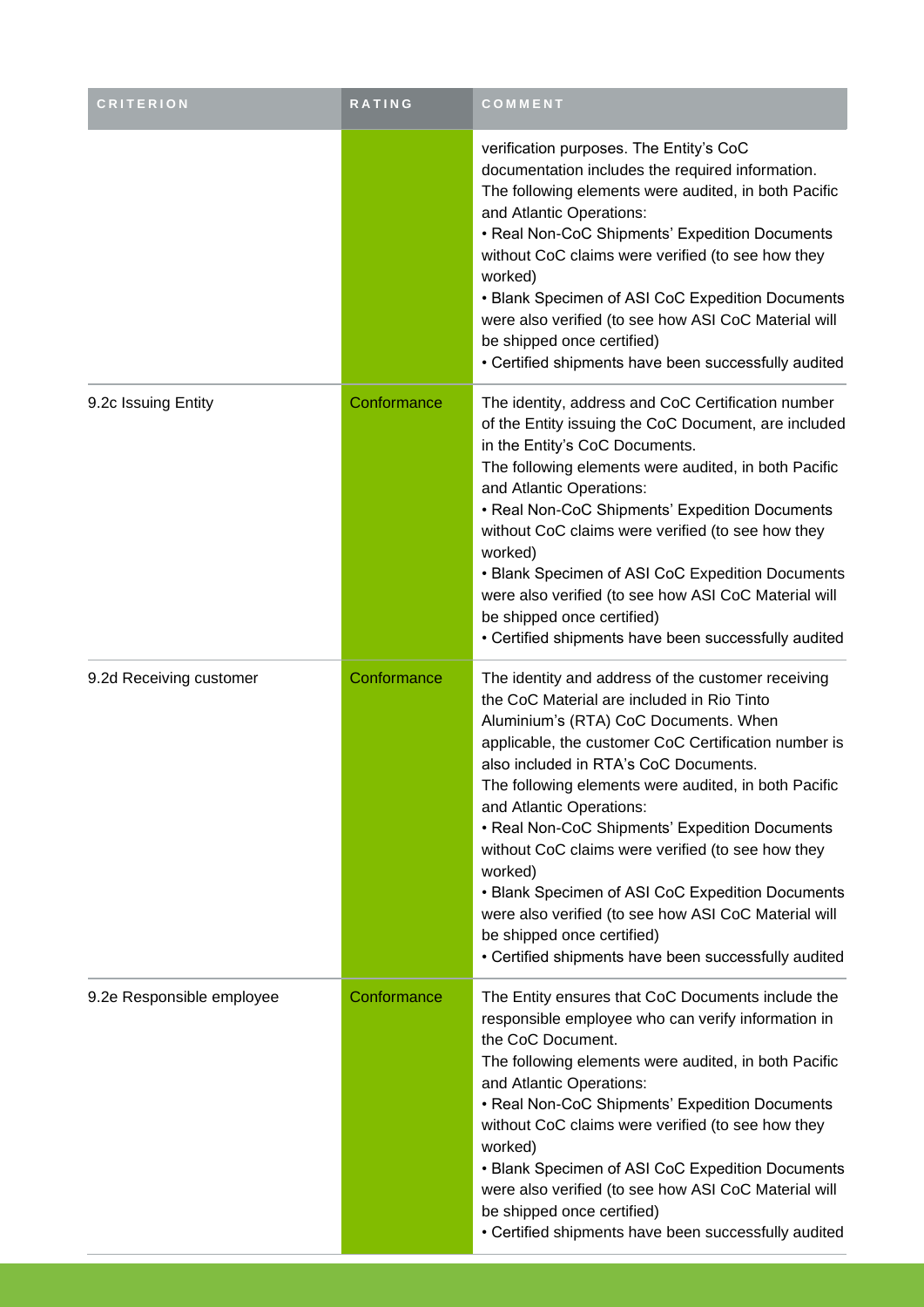| <b>CRITERION</b>          | RATING      | COMMENT                                                                                                                                                                                                                                                                                                                                                                                                                                                                                                                                                                                                                                            |
|---------------------------|-------------|----------------------------------------------------------------------------------------------------------------------------------------------------------------------------------------------------------------------------------------------------------------------------------------------------------------------------------------------------------------------------------------------------------------------------------------------------------------------------------------------------------------------------------------------------------------------------------------------------------------------------------------------------|
|                           |             | verification purposes. The Entity's CoC<br>documentation includes the required information.<br>The following elements were audited, in both Pacific<br>and Atlantic Operations:<br>• Real Non-CoC Shipments' Expedition Documents<br>without CoC claims were verified (to see how they<br>worked)<br>• Blank Specimen of ASI CoC Expedition Documents<br>were also verified (to see how ASI CoC Material will<br>be shipped once certified)<br>• Certified shipments have been successfully audited                                                                                                                                                |
| 9.2c Issuing Entity       | Conformance | The identity, address and CoC Certification number<br>of the Entity issuing the CoC Document, are included<br>in the Entity's CoC Documents.<br>The following elements were audited, in both Pacific<br>and Atlantic Operations:<br>• Real Non-CoC Shipments' Expedition Documents<br>without CoC claims were verified (to see how they<br>worked)<br>• Blank Specimen of ASI CoC Expedition Documents<br>were also verified (to see how ASI CoC Material will<br>be shipped once certified)<br>• Certified shipments have been successfully audited                                                                                               |
| 9.2d Receiving customer   | Conformance | The identity and address of the customer receiving<br>the CoC Material are included in Rio Tinto<br>Aluminium's (RTA) CoC Documents. When<br>applicable, the customer CoC Certification number is<br>also included in RTA's CoC Documents.<br>The following elements were audited, in both Pacific<br>and Atlantic Operations:<br>• Real Non-CoC Shipments' Expedition Documents<br>without CoC claims were verified (to see how they<br>worked)<br>• Blank Specimen of ASI CoC Expedition Documents<br>were also verified (to see how ASI CoC Material will<br>be shipped once certified)<br>• Certified shipments have been successfully audited |
| 9.2e Responsible employee | Conformance | The Entity ensures that CoC Documents include the<br>responsible employee who can verify information in<br>the CoC Document.<br>The following elements were audited, in both Pacific<br>and Atlantic Operations:<br>• Real Non-CoC Shipments' Expedition Documents<br>without CoC claims were verified (to see how they<br>worked)<br>• Blank Specimen of ASI CoC Expedition Documents<br>were also verified (to see how ASI CoC Material will<br>be shipped once certified)<br>• Certified shipments have been successfully audited                                                                                                               |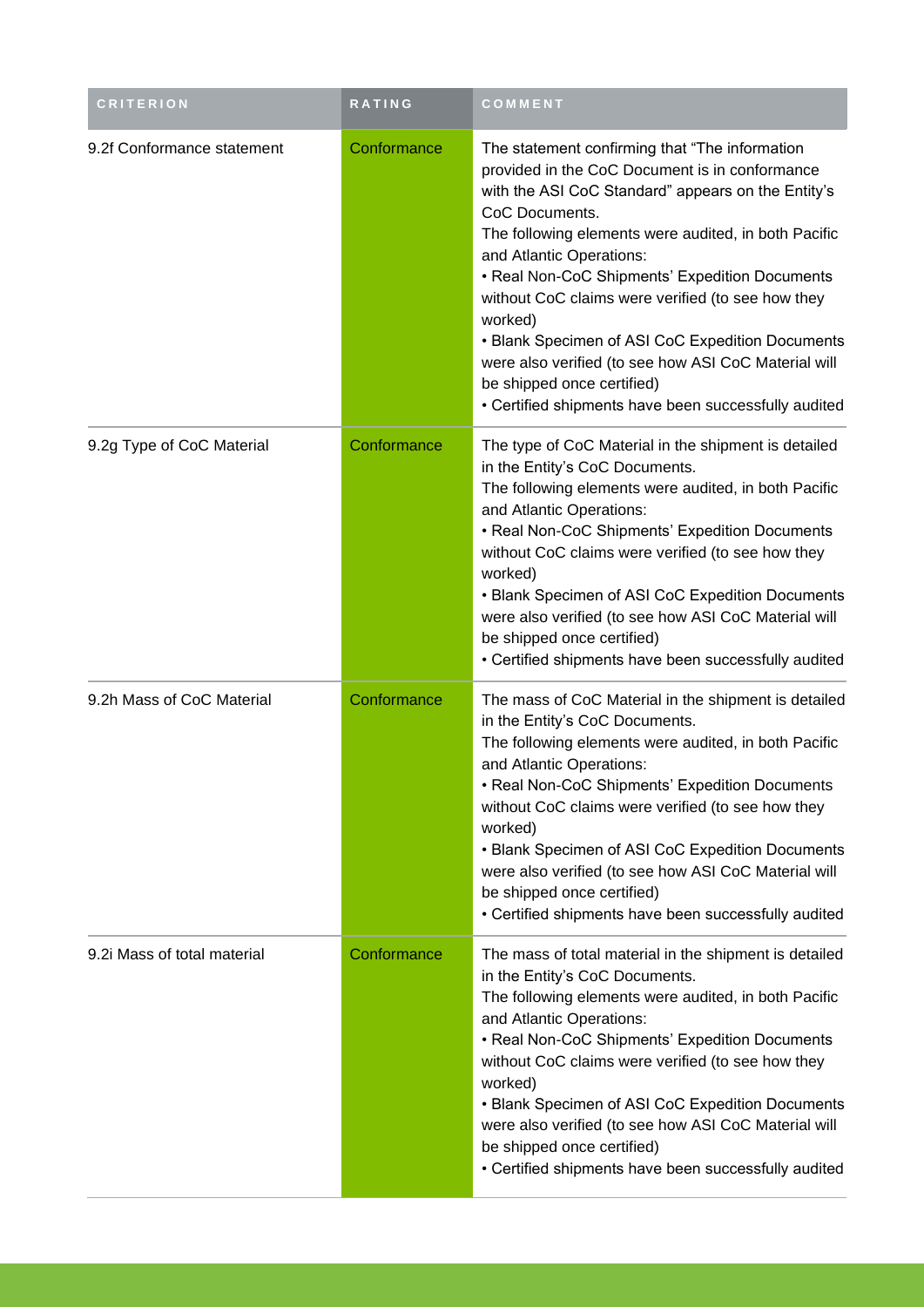| <b>CRITERION</b>            | <b>RATING</b> | <b>COMMENT</b>                                                                                                                                                                                                                                                                                                                                                                                                                                                                                                                                                                    |
|-----------------------------|---------------|-----------------------------------------------------------------------------------------------------------------------------------------------------------------------------------------------------------------------------------------------------------------------------------------------------------------------------------------------------------------------------------------------------------------------------------------------------------------------------------------------------------------------------------------------------------------------------------|
| 9.2f Conformance statement  | Conformance   | The statement confirming that "The information"<br>provided in the CoC Document is in conformance<br>with the ASI CoC Standard" appears on the Entity's<br>CoC Documents.<br>The following elements were audited, in both Pacific<br>and Atlantic Operations:<br>• Real Non-CoC Shipments' Expedition Documents<br>without CoC claims were verified (to see how they<br>worked)<br>• Blank Specimen of ASI CoC Expedition Documents<br>were also verified (to see how ASI CoC Material will<br>be shipped once certified)<br>• Certified shipments have been successfully audited |
| 9.2g Type of CoC Material   | Conformance   | The type of CoC Material in the shipment is detailed<br>in the Entity's CoC Documents.<br>The following elements were audited, in both Pacific<br>and Atlantic Operations:<br>• Real Non-CoC Shipments' Expedition Documents<br>without CoC claims were verified (to see how they<br>worked)<br>• Blank Specimen of ASI CoC Expedition Documents<br>were also verified (to see how ASI CoC Material will<br>be shipped once certified)<br>• Certified shipments have been successfully audited                                                                                    |
| 9.2h Mass of CoC Material   | Conformance   | The mass of CoC Material in the shipment is detailed<br>in the Entity's CoC Documents.<br>The following elements were audited, in both Pacific<br>and Atlantic Operations:<br>• Real Non-CoC Shipments' Expedition Documents<br>without CoC claims were verified (to see how they<br>worked)<br>• Blank Specimen of ASI CoC Expedition Documents<br>were also verified (to see how ASI CoC Material will<br>be shipped once certified)<br>• Certified shipments have been successfully audited                                                                                    |
| 9.2i Mass of total material | Conformance   | The mass of total material in the shipment is detailed<br>in the Entity's CoC Documents.<br>The following elements were audited, in both Pacific<br>and Atlantic Operations:<br>• Real Non-CoC Shipments' Expedition Documents<br>without CoC claims were verified (to see how they<br>worked)<br>• Blank Specimen of ASI CoC Expedition Documents<br>were also verified (to see how ASI CoC Material will<br>be shipped once certified)<br>• Certified shipments have been successfully audited                                                                                  |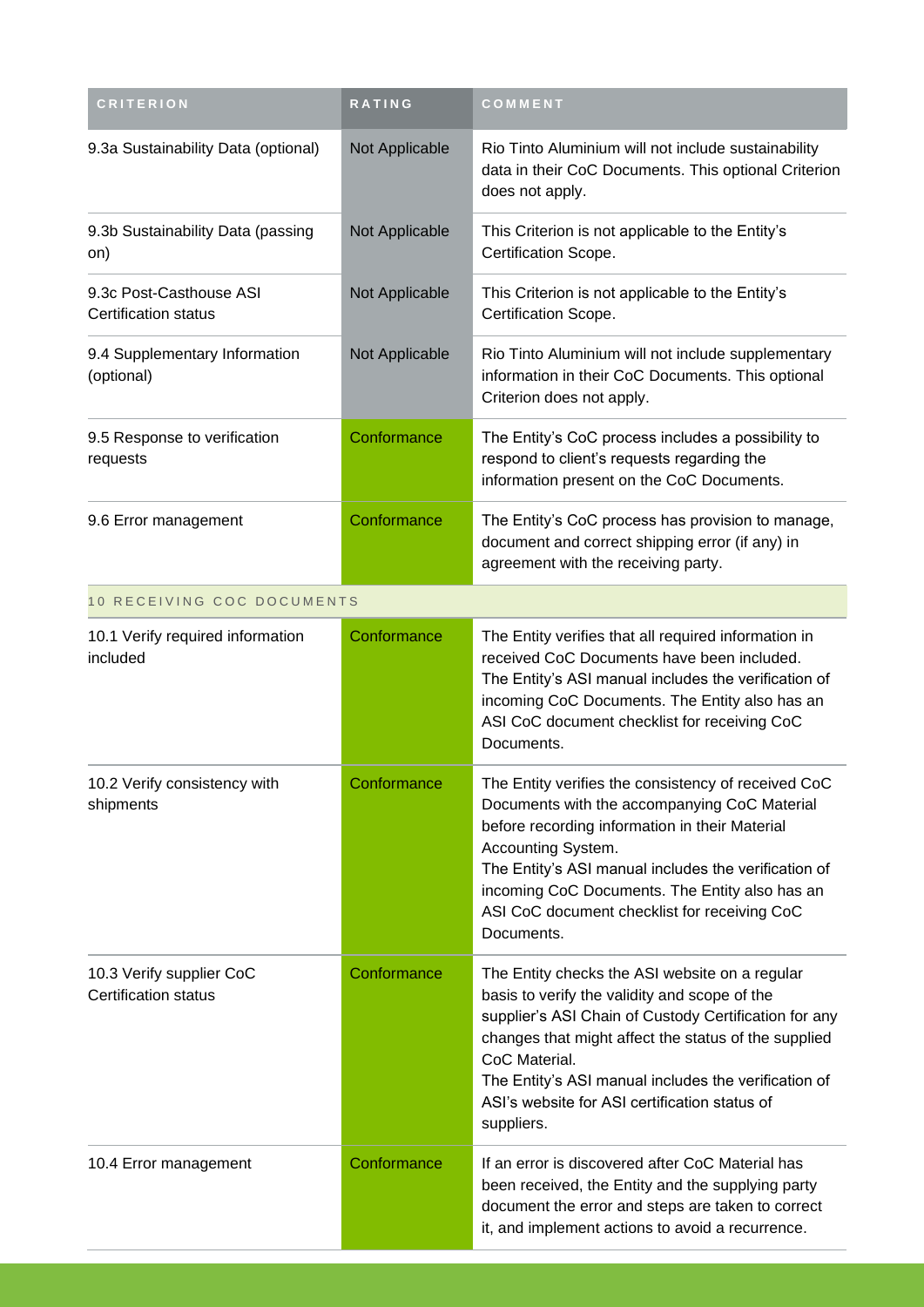| <b>CRITERION</b>                                        | RATING         | COMMENT                                                                                                                                                                                                                                                                                                                                                  |
|---------------------------------------------------------|----------------|----------------------------------------------------------------------------------------------------------------------------------------------------------------------------------------------------------------------------------------------------------------------------------------------------------------------------------------------------------|
| 9.3a Sustainability Data (optional)                     | Not Applicable | Rio Tinto Aluminium will not include sustainability<br>data in their CoC Documents. This optional Criterion<br>does not apply.                                                                                                                                                                                                                           |
| 9.3b Sustainability Data (passing<br>on)                | Not Applicable | This Criterion is not applicable to the Entity's<br>Certification Scope.                                                                                                                                                                                                                                                                                 |
| 9.3c Post-Casthouse ASI<br>Certification status         | Not Applicable | This Criterion is not applicable to the Entity's<br>Certification Scope.                                                                                                                                                                                                                                                                                 |
| 9.4 Supplementary Information<br>(optional)             | Not Applicable | Rio Tinto Aluminium will not include supplementary<br>information in their CoC Documents. This optional<br>Criterion does not apply.                                                                                                                                                                                                                     |
| 9.5 Response to verification<br>requests                | Conformance    | The Entity's CoC process includes a possibility to<br>respond to client's requests regarding the<br>information present on the CoC Documents.                                                                                                                                                                                                            |
| 9.6 Error management                                    | Conformance    | The Entity's CoC process has provision to manage,<br>document and correct shipping error (if any) in<br>agreement with the receiving party.                                                                                                                                                                                                              |
| 10 RECEIVING COC DOCUMENTS                              |                |                                                                                                                                                                                                                                                                                                                                                          |
| 10.1 Verify required information<br>included            | Conformance    | The Entity verifies that all required information in<br>received CoC Documents have been included.<br>The Entity's ASI manual includes the verification of<br>incoming CoC Documents. The Entity also has an<br>ASI CoC document checklist for receiving CoC<br>Documents.                                                                               |
| 10.2 Verify consistency with<br>shipments               | Conformance    | The Entity verifies the consistency of received CoC<br>Documents with the accompanying CoC Material<br>before recording information in their Material<br>Accounting System.<br>The Entity's ASI manual includes the verification of<br>incoming CoC Documents. The Entity also has an<br>ASI CoC document checklist for receiving CoC<br>Documents.      |
| 10.3 Verify supplier CoC<br><b>Certification status</b> | Conformance    | The Entity checks the ASI website on a regular<br>basis to verify the validity and scope of the<br>supplier's ASI Chain of Custody Certification for any<br>changes that might affect the status of the supplied<br>CoC Material.<br>The Entity's ASI manual includes the verification of<br>ASI's website for ASI certification status of<br>suppliers. |
| 10.4 Error management                                   | Conformance    | If an error is discovered after CoC Material has<br>been received, the Entity and the supplying party<br>document the error and steps are taken to correct<br>it, and implement actions to avoid a recurrence.                                                                                                                                           |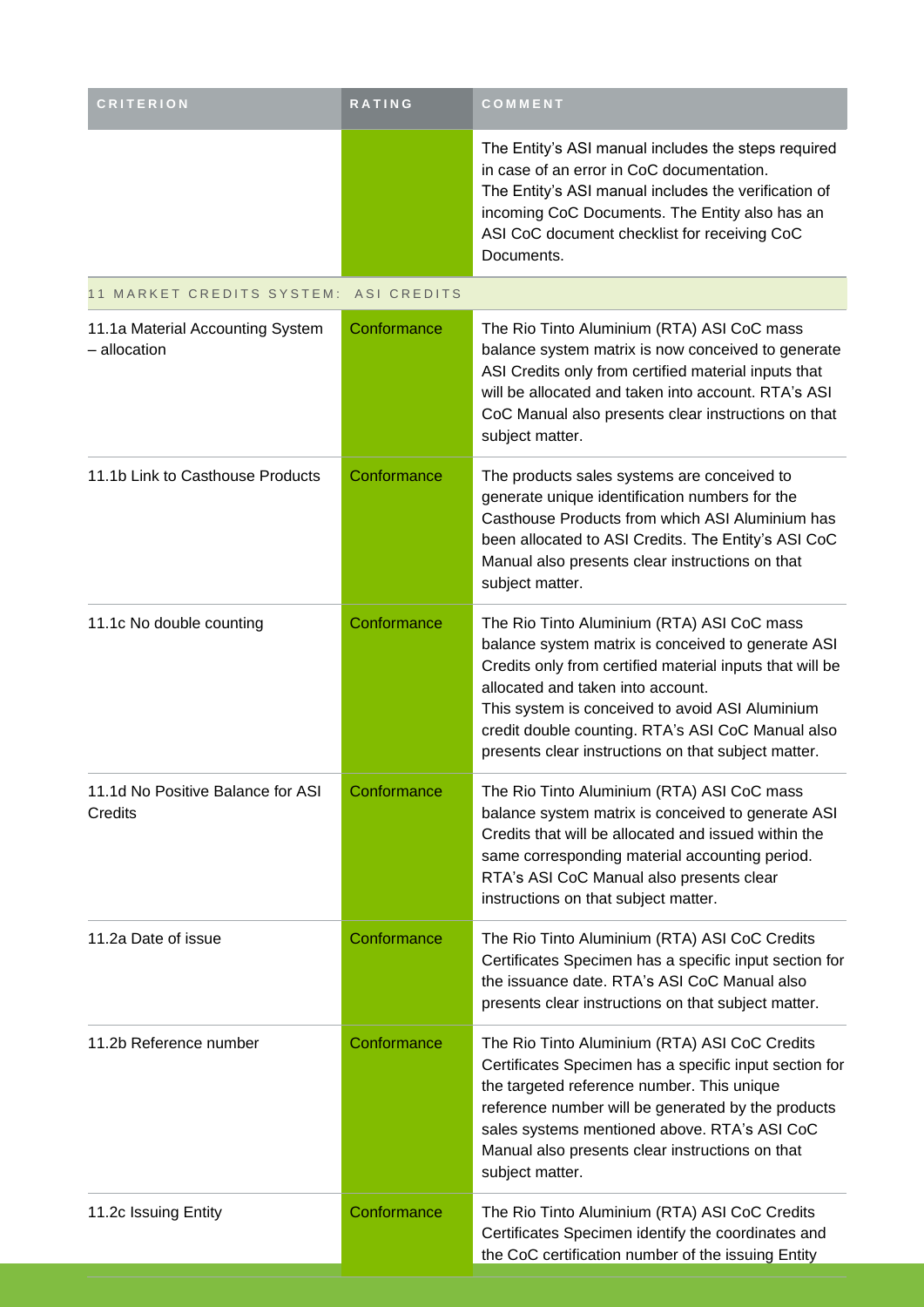| <b>CRITERION</b>                                 | RATING      | COMMENT                                                                                                                                                                                                                                                                                                                                                          |
|--------------------------------------------------|-------------|------------------------------------------------------------------------------------------------------------------------------------------------------------------------------------------------------------------------------------------------------------------------------------------------------------------------------------------------------------------|
|                                                  |             | The Entity's ASI manual includes the steps required<br>in case of an error in CoC documentation.<br>The Entity's ASI manual includes the verification of<br>incoming CoC Documents. The Entity also has an<br>ASI CoC document checklist for receiving CoC<br>Documents.                                                                                         |
| 11 MARKET CREDITS SYSTEM:                        | ASI CREDITS |                                                                                                                                                                                                                                                                                                                                                                  |
| 11.1a Material Accounting System<br>- allocation | Conformance | The Rio Tinto Aluminium (RTA) ASI CoC mass<br>balance system matrix is now conceived to generate<br>ASI Credits only from certified material inputs that<br>will be allocated and taken into account. RTA's ASI<br>CoC Manual also presents clear instructions on that<br>subject matter.                                                                        |
| 11.1b Link to Casthouse Products                 | Conformance | The products sales systems are conceived to<br>generate unique identification numbers for the<br>Casthouse Products from which ASI Aluminium has<br>been allocated to ASI Credits. The Entity's ASI CoC<br>Manual also presents clear instructions on that<br>subject matter.                                                                                    |
| 11.1c No double counting                         | Conformance | The Rio Tinto Aluminium (RTA) ASI CoC mass<br>balance system matrix is conceived to generate ASI<br>Credits only from certified material inputs that will be<br>allocated and taken into account.<br>This system is conceived to avoid ASI Aluminium<br>credit double counting. RTA's ASI CoC Manual also<br>presents clear instructions on that subject matter. |
| 11.1d No Positive Balance for ASI<br>Credits     | Conformance | The Rio Tinto Aluminium (RTA) ASI CoC mass<br>balance system matrix is conceived to generate ASI<br>Credits that will be allocated and issued within the<br>same corresponding material accounting period.<br>RTA's ASI CoC Manual also presents clear<br>instructions on that subject matter.                                                                   |
| 11.2a Date of issue                              | Conformance | The Rio Tinto Aluminium (RTA) ASI CoC Credits<br>Certificates Specimen has a specific input section for<br>the issuance date. RTA's ASI CoC Manual also<br>presents clear instructions on that subject matter.                                                                                                                                                   |
| 11.2b Reference number                           | Conformance | The Rio Tinto Aluminium (RTA) ASI CoC Credits<br>Certificates Specimen has a specific input section for<br>the targeted reference number. This unique<br>reference number will be generated by the products<br>sales systems mentioned above. RTA's ASI CoC<br>Manual also presents clear instructions on that<br>subject matter.                                |
| 11.2c Issuing Entity                             | Conformance | The Rio Tinto Aluminium (RTA) ASI CoC Credits<br>Certificates Specimen identify the coordinates and<br>the CoC certification number of the issuing Entity                                                                                                                                                                                                        |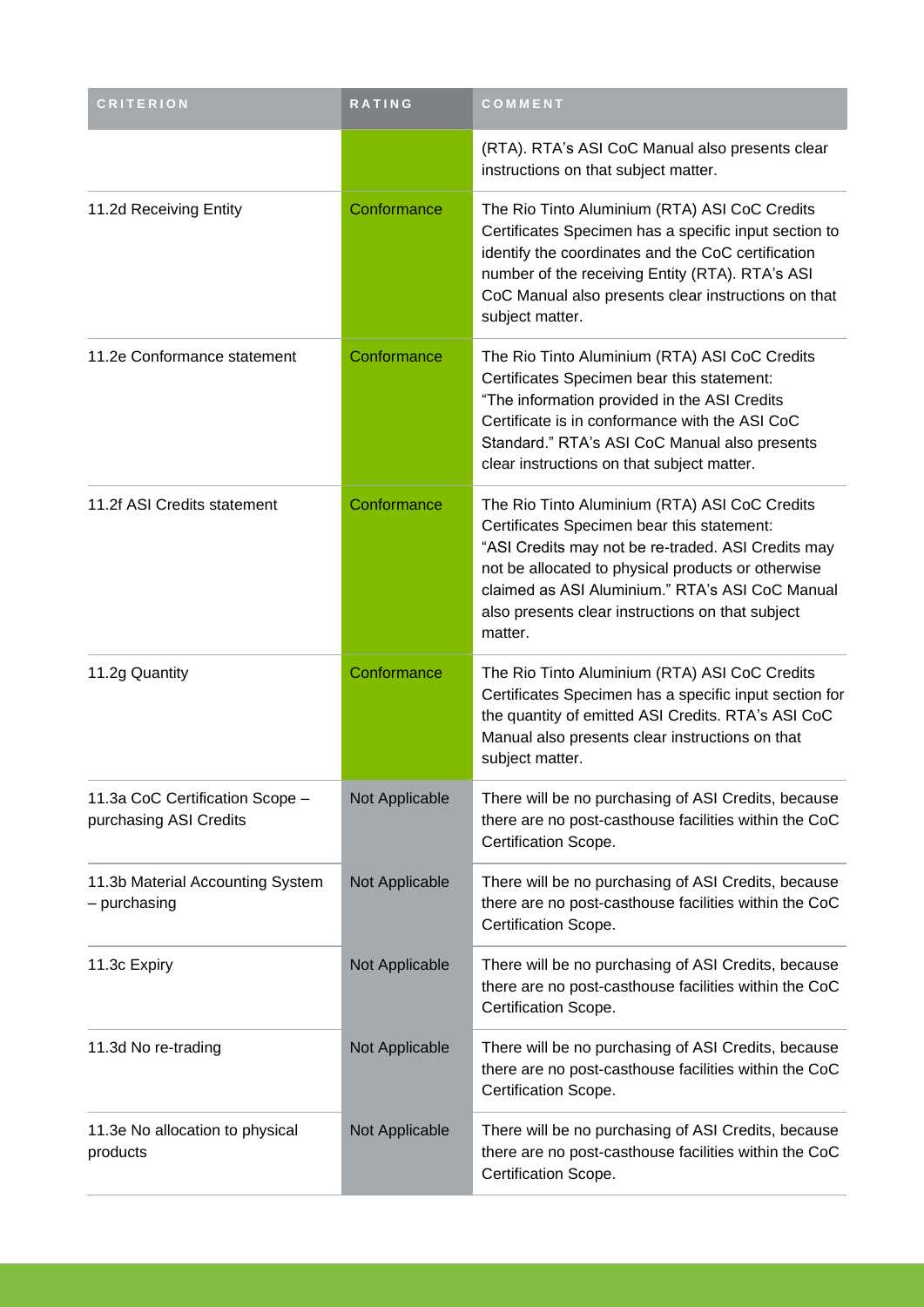| <b>CRITERION</b>                                          | RATING         | COMMENT                                                                                                                                                                                                                                                                                                                   |
|-----------------------------------------------------------|----------------|---------------------------------------------------------------------------------------------------------------------------------------------------------------------------------------------------------------------------------------------------------------------------------------------------------------------------|
|                                                           |                | (RTA). RTA's ASI CoC Manual also presents clear<br>instructions on that subject matter.                                                                                                                                                                                                                                   |
| 11.2d Receiving Entity                                    | Conformance    | The Rio Tinto Aluminium (RTA) ASI CoC Credits<br>Certificates Specimen has a specific input section to<br>identify the coordinates and the CoC certification<br>number of the receiving Entity (RTA). RTA's ASI<br>CoC Manual also presents clear instructions on that<br>subject matter.                                 |
| 11.2e Conformance statement                               | Conformance    | The Rio Tinto Aluminium (RTA) ASI CoC Credits<br>Certificates Specimen bear this statement:<br>"The information provided in the ASI Credits<br>Certificate is in conformance with the ASI CoC<br>Standard." RTA's ASI CoC Manual also presents<br>clear instructions on that subject matter.                              |
| 11.2f ASI Credits statement                               | Conformance    | The Rio Tinto Aluminium (RTA) ASI CoC Credits<br>Certificates Specimen bear this statement:<br>"ASI Credits may not be re-traded. ASI Credits may<br>not be allocated to physical products or otherwise<br>claimed as ASI Aluminium." RTA's ASI CoC Manual<br>also presents clear instructions on that subject<br>matter. |
| 11.2g Quantity                                            | Conformance    | The Rio Tinto Aluminium (RTA) ASI CoC Credits<br>Certificates Specimen has a specific input section for<br>the quantity of emitted ASI Credits. RTA's ASI CoC<br>Manual also presents clear instructions on that<br>subject matter.                                                                                       |
| 11.3a CoC Certification Scope -<br>purchasing ASI Credits | Not Applicable | There will be no purchasing of ASI Credits, because<br>there are no post-casthouse facilities within the CoC<br>Certification Scope.                                                                                                                                                                                      |
| 11.3b Material Accounting System<br>- purchasing          | Not Applicable | There will be no purchasing of ASI Credits, because<br>there are no post-casthouse facilities within the CoC<br>Certification Scope.                                                                                                                                                                                      |
| 11.3c Expiry                                              | Not Applicable | There will be no purchasing of ASI Credits, because<br>there are no post-casthouse facilities within the CoC<br>Certification Scope.                                                                                                                                                                                      |
| 11.3d No re-trading                                       | Not Applicable | There will be no purchasing of ASI Credits, because<br>there are no post-casthouse facilities within the CoC<br>Certification Scope.                                                                                                                                                                                      |
| 11.3e No allocation to physical<br>products               | Not Applicable | There will be no purchasing of ASI Credits, because<br>there are no post-casthouse facilities within the CoC<br>Certification Scope.                                                                                                                                                                                      |